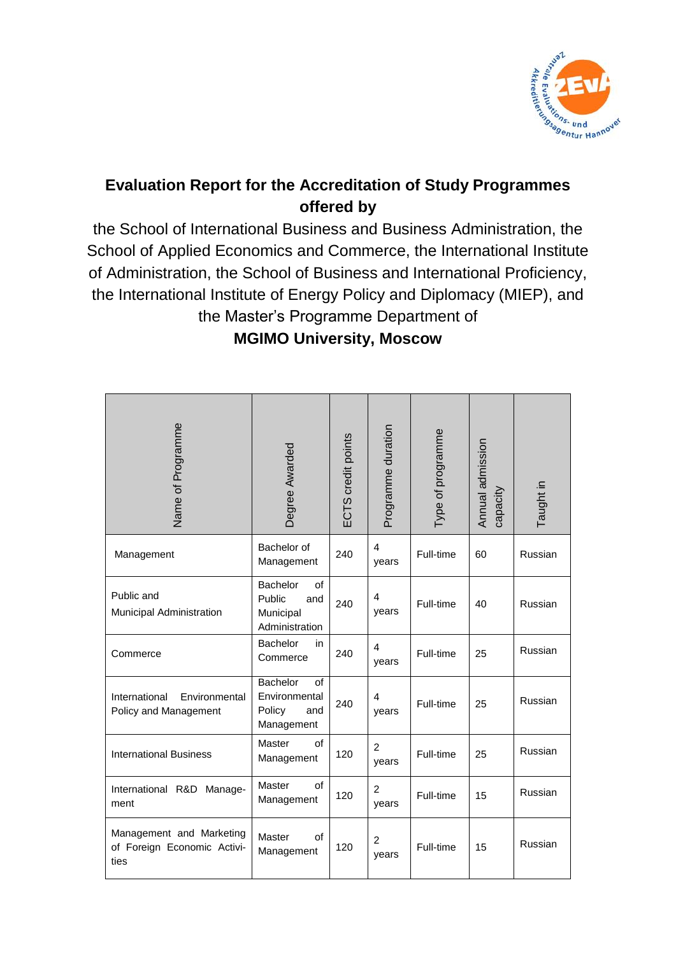

# **Evaluation Report for the Accreditation of Study Programmes offered by**

the School of International Business and Business Administration, the School of Applied Economics and Commerce, the International Institute of Administration, the School of Business and International Proficiency, the International Institute of Energy Policy and Diplomacy (MIEP), and the Master's Programme Department of

**MGIMO University, Moscow**

| Name of Programme                                               | Degree Awarded                                                        | ECTS credit points | Programme duration      | Type of programme | Annual admission<br>capacity | Taught in |
|-----------------------------------------------------------------|-----------------------------------------------------------------------|--------------------|-------------------------|-------------------|------------------------------|-----------|
| Management                                                      | Bachelor of<br>Management                                             | 240                | 4<br>years              | Full-time         | 60                           | Russian   |
| Public and<br>Municipal Administration                          | <b>Bachelor</b><br>of<br>Public<br>and<br>Municipal<br>Administration | 240                | 4<br>years              | Full-time         | 40                           | Russian   |
| Commerce                                                        | Bachelor<br>in<br>Commerce                                            | 240                | 4<br>years              | Full-time         | 25                           | Russian   |
| International<br>Environmental<br>Policy and Management         | $\Omega$<br>Bachelor<br>Environmental<br>Policy<br>and<br>Management  | 240                | 4<br>years              | Full-time         | 25                           | Russian   |
| <b>International Business</b>                                   | Master<br>of<br>Management                                            | 120                | $\overline{2}$<br>years | Full-time         | 25                           | Russian   |
| International R&D Manage-<br>ment                               | Master<br>of<br>Management                                            | 120                | 2<br>years              | Full-time         | 15                           | Russian   |
| Management and Marketing<br>of Foreign Economic Activi-<br>ties | Master<br>of<br>Management                                            | 120                | $\overline{c}$<br>years | Full-time         | 15                           | Russian   |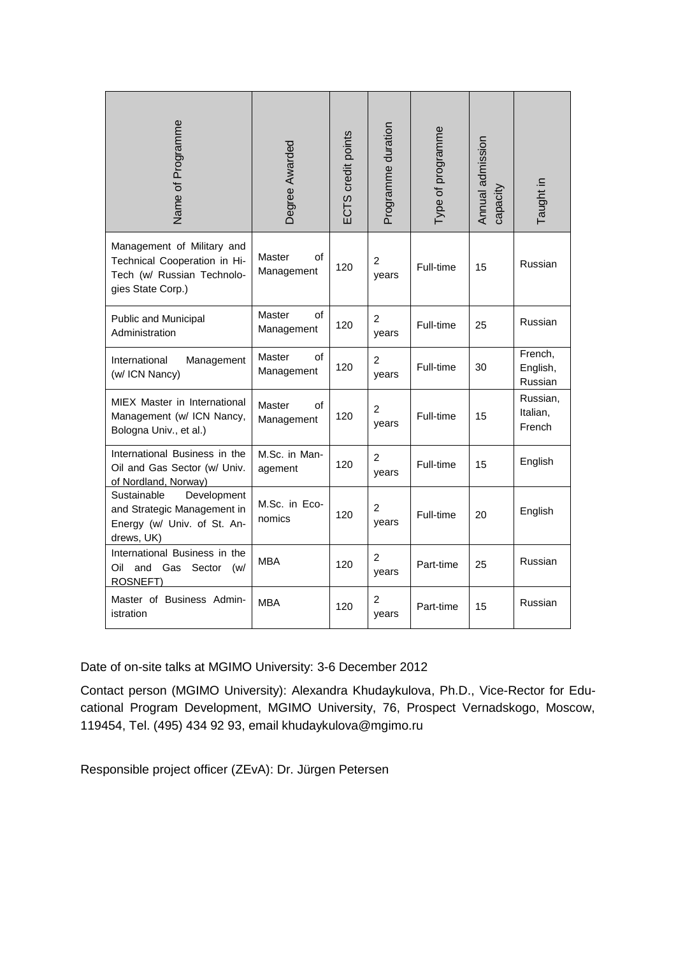| Name of Programme                                                                                             | Degree Awarded                    | ECTS credit points | Programme duration      | Type of programme | Annual admission<br>capacity | Taught in                      |
|---------------------------------------------------------------------------------------------------------------|-----------------------------------|--------------------|-------------------------|-------------------|------------------------------|--------------------------------|
| Management of Military and<br>Technical Cooperation in Hi-<br>Tech (w/ Russian Technolo-<br>gies State Corp.) | <b>Master</b><br>οf<br>Management | 120                | $\overline{2}$<br>years | Full-time         | 15                           | Russian                        |
| Public and Municipal<br>Administration                                                                        | <b>Master</b><br>οf<br>Management | 120                | $\overline{2}$<br>years | Full-time         | 25                           | Russian                        |
| International<br>Management<br>(w/ ICN Nancy)                                                                 | <b>Master</b><br>of<br>Management | 120                | $\overline{2}$<br>years | Full-time         | 30                           | French,<br>English,<br>Russian |
| MIEX Master in International<br>Management (w/ ICN Nancy,<br>Bologna Univ., et al.)                           | <b>Master</b><br>of<br>Management | 120                | $\overline{2}$<br>years | Full-time         | 15                           | Russian,<br>Italian,<br>French |
| International Business in the<br>Oil and Gas Sector (w/ Univ.<br>of Nordland, Norway)                         | M.Sc. in Man-<br>agement          | 120                | 2<br>years              | Full-time         | 15                           | English                        |
| Development<br>Sustainable<br>and Strategic Management in<br>Energy (w/ Univ. of St. An-<br>drews, UK)        | M.Sc. in Eco-<br>nomics           | 120                | 2<br>years              | Full-time         | 20                           | English                        |
| International Business in the<br>Oil<br>and<br>Gas<br>Sector<br>(w/<br>ROSNEFT)                               | <b>MBA</b>                        | 120                | $\overline{2}$<br>years | Part-time         | 25                           | Russian                        |
| Master of Business Admin-<br>istration                                                                        | <b>MBA</b>                        | 120                | $\overline{2}$<br>years | Part-time         | 15                           | Russian                        |

Date of on-site talks at MGIMO University: 3-6 December 2012

Contact person (MGIMO University): Alexandra Khudaykulova, Ph.D., Vice-Rector for Educational Program Development, MGIMO University, 76, Prospect Vernadskogo, Moscow, 119454, Tel. (495) 434 92 93, email khudaykulova@mgimo.ru

Responsible project officer (ZEvA): Dr. Jürgen Petersen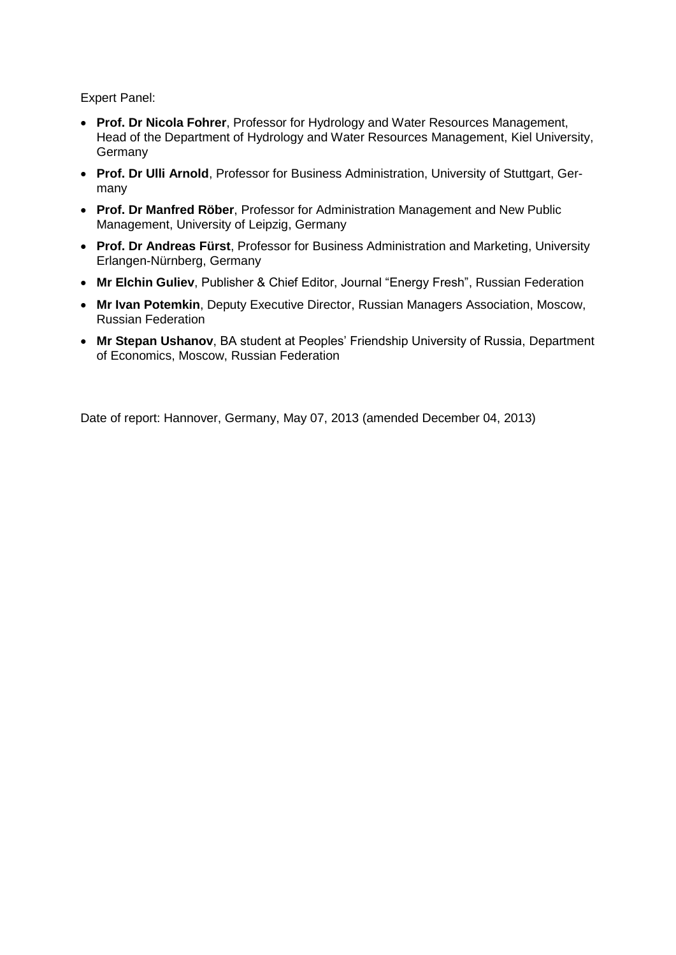Expert Panel:

- **Prof. Dr Nicola Fohrer**, Professor for Hydrology and Water Resources Management, Head of the Department of Hydrology and Water Resources Management, Kiel University, Germany
- **Prof. Dr Ulli Arnold**, Professor for Business Administration, University of Stuttgart, Germany
- **Prof. Dr Manfred Röber**, Professor for Administration Management and New Public Management, University of Leipzig, Germany
- **Prof. Dr Andreas Fürst**, Professor for Business Administration and Marketing, University Erlangen-Nürnberg, Germany
- **Mr Elchin Guliev**, Publisher & Chief Editor, Journal "Energy Fresh", Russian Federation
- **Mr Ivan Potemkin**, Deputy Executive Director, Russian Managers Association, Moscow, Russian Federation
- **Mr Stepan Ushanov**, BA student at Peoples' Friendship University of Russia, Department of Economics, Moscow, Russian Federation

Date of report: Hannover, Germany, May 07, 2013 (amended December 04, 2013)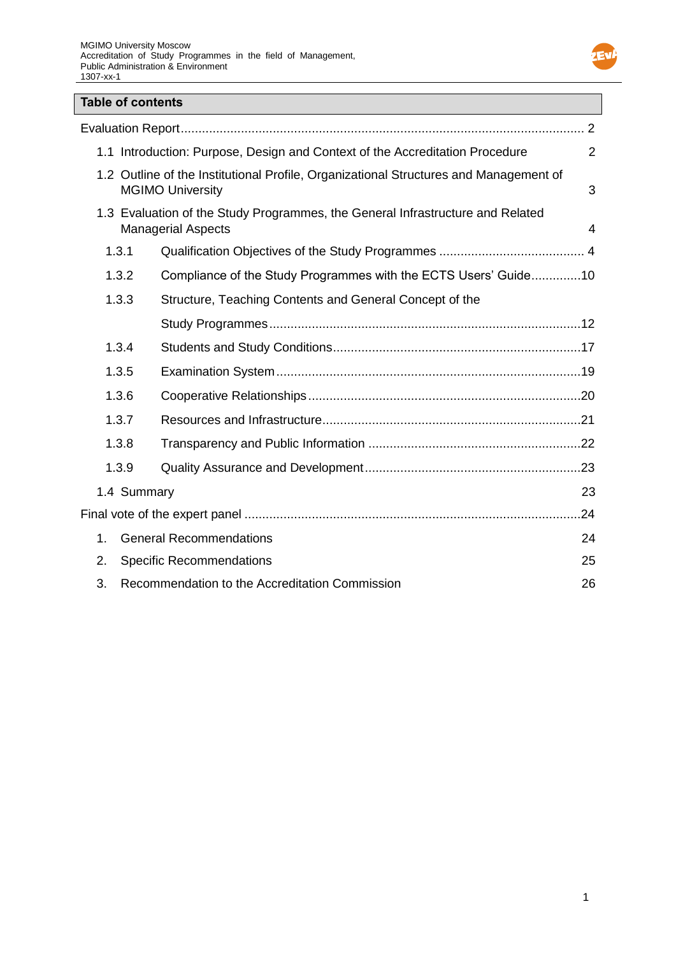

# **Table of contents**

|               | 1.1 Introduction: Purpose, Design and Context of the Accreditation Procedure                                     | 2   |
|---------------|------------------------------------------------------------------------------------------------------------------|-----|
|               | 1.2 Outline of the Institutional Profile, Organizational Structures and Management of<br><b>MGIMO University</b> | 3   |
|               | 1.3 Evaluation of the Study Programmes, the General Infrastructure and Related<br><b>Managerial Aspects</b>      | 4   |
| 1.3.1         |                                                                                                                  |     |
| 1.3.2         | Compliance of the Study Programmes with the ECTS Users' Guide10                                                  |     |
| 1.3.3         | Structure, Teaching Contents and General Concept of the                                                          |     |
|               |                                                                                                                  |     |
| 1.3.4         |                                                                                                                  |     |
| 1.3.5         |                                                                                                                  |     |
| 1.3.6         |                                                                                                                  |     |
| 1.3.7         |                                                                                                                  |     |
| 1.3.8         |                                                                                                                  |     |
| 1.3.9         |                                                                                                                  |     |
| 1.4 Summary   |                                                                                                                  | 23  |
|               |                                                                                                                  | .24 |
| $\mathbf 1$ . | <b>General Recommendations</b>                                                                                   | 24  |
| 2.            | <b>Specific Recommendations</b>                                                                                  | 25  |
| 3.            | Recommendation to the Accreditation Commission                                                                   | 26  |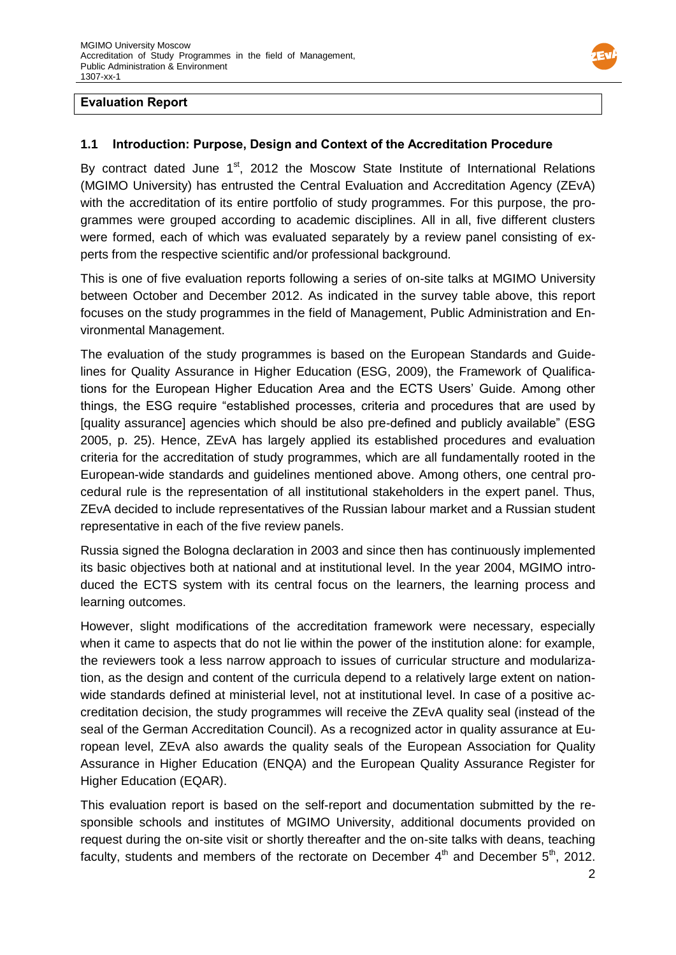

### **Evaluation Report**

### **1.1 Introduction: Purpose, Design and Context of the Accreditation Procedure**

By contract dated June  $1<sup>st</sup>$ , 2012 the Moscow State Institute of International Relations (MGIMO University) has entrusted the Central Evaluation and Accreditation Agency (ZEvA) with the accreditation of its entire portfolio of study programmes. For this purpose, the programmes were grouped according to academic disciplines. All in all, five different clusters were formed, each of which was evaluated separately by a review panel consisting of experts from the respective scientific and/or professional background.

This is one of five evaluation reports following a series of on-site talks at MGIMO University between October and December 2012. As indicated in the survey table above, this report focuses on the study programmes in the field of Management, Public Administration and Environmental Management.

The evaluation of the study programmes is based on the European Standards and Guidelines for Quality Assurance in Higher Education (ESG, 2009), the Framework of Qualifications for the European Higher Education Area and the ECTS Users' Guide. Among other things, the ESG require "established processes, criteria and procedures that are used by [quality assurance] agencies which should be also pre-defined and publicly available" (ESG 2005, p. 25). Hence, ZEvA has largely applied its established procedures and evaluation criteria for the accreditation of study programmes, which are all fundamentally rooted in the European-wide standards and guidelines mentioned above. Among others, one central procedural rule is the representation of all institutional stakeholders in the expert panel. Thus, ZEvA decided to include representatives of the Russian labour market and a Russian student representative in each of the five review panels.

Russia signed the Bologna declaration in 2003 and since then has continuously implemented its basic objectives both at national and at institutional level. In the year 2004, MGIMO introduced the ECTS system with its central focus on the learners, the learning process and learning outcomes.

However, slight modifications of the accreditation framework were necessary, especially when it came to aspects that do not lie within the power of the institution alone: for example, the reviewers took a less narrow approach to issues of curricular structure and modularization, as the design and content of the curricula depend to a relatively large extent on nationwide standards defined at ministerial level, not at institutional level. In case of a positive accreditation decision, the study programmes will receive the ZEvA quality seal (instead of the seal of the German Accreditation Council). As a recognized actor in quality assurance at European level, ZEvA also awards the quality seals of the European Association for Quality Assurance in Higher Education (ENQA) and the European Quality Assurance Register for Higher Education (EQAR).

This evaluation report is based on the self-report and documentation submitted by the responsible schools and institutes of MGIMO University, additional documents provided on request during the on-site visit or shortly thereafter and the on-site talks with deans, teaching faculty, students and members of the rectorate on December  $4<sup>th</sup>$  and December  $5<sup>th</sup>$ , 2012.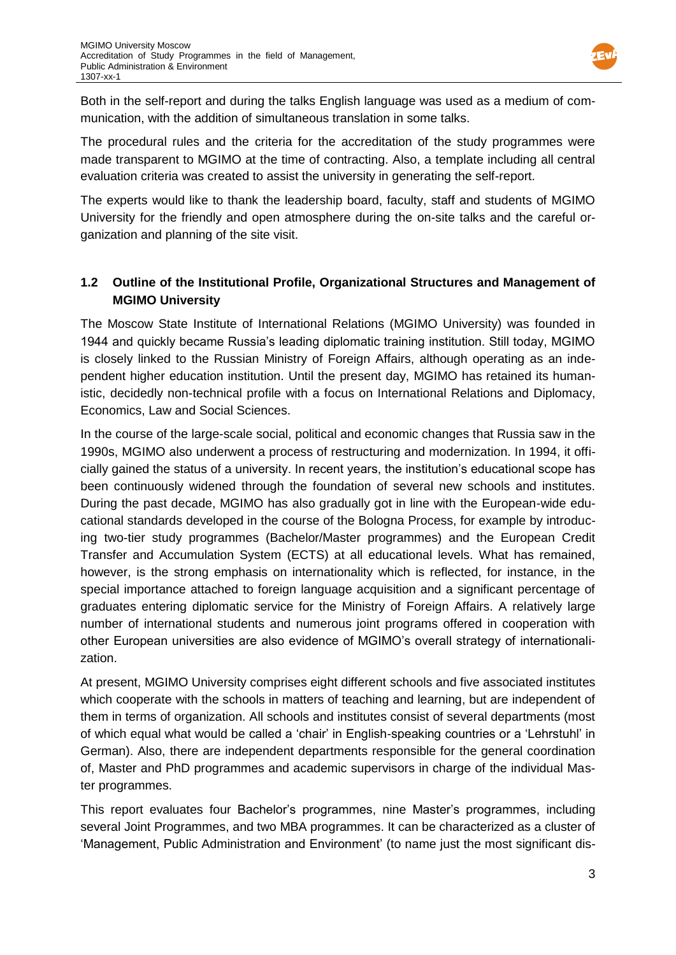

Both in the self-report and during the talks English language was used as a medium of communication, with the addition of simultaneous translation in some talks.

The procedural rules and the criteria for the accreditation of the study programmes were made transparent to MGIMO at the time of contracting. Also, a template including all central evaluation criteria was created to assist the university in generating the self-report.

The experts would like to thank the leadership board, faculty, staff and students of MGIMO University for the friendly and open atmosphere during the on-site talks and the careful organization and planning of the site visit.

# **1.2 Outline of the Institutional Profile, Organizational Structures and Management of MGIMO University**

The Moscow State Institute of International Relations (MGIMO University) was founded in 1944 and quickly became Russia's leading diplomatic training institution. Still today, MGIMO is closely linked to the Russian Ministry of Foreign Affairs, although operating as an independent higher education institution. Until the present day, MGIMO has retained its humanistic, decidedly non-technical profile with a focus on International Relations and Diplomacy, Economics, Law and Social Sciences.

In the course of the large-scale social, political and economic changes that Russia saw in the 1990s, MGIMO also underwent a process of restructuring and modernization. In 1994, it officially gained the status of a university. In recent years, the institution's educational scope has been continuously widened through the foundation of several new schools and institutes. During the past decade, MGIMO has also gradually got in line with the European-wide educational standards developed in the course of the Bologna Process, for example by introducing two-tier study programmes (Bachelor/Master programmes) and the European Credit Transfer and Accumulation System (ECTS) at all educational levels. What has remained, however, is the strong emphasis on internationality which is reflected, for instance, in the special importance attached to foreign language acquisition and a significant percentage of graduates entering diplomatic service for the Ministry of Foreign Affairs. A relatively large number of international students and numerous joint programs offered in cooperation with other European universities are also evidence of MGIMO's overall strategy of internationalization.

At present, MGIMO University comprises eight different schools and five associated institutes which cooperate with the schools in matters of teaching and learning, but are independent of them in terms of organization. All schools and institutes consist of several departments (most of which equal what would be called a 'chair' in English-speaking countries or a 'Lehrstuhl' in German). Also, there are independent departments responsible for the general coordination of, Master and PhD programmes and academic supervisors in charge of the individual Master programmes.

This report evaluates four Bachelor's programmes, nine Master's programmes, including several Joint Programmes, and two MBA programmes. It can be characterized as a cluster of 'Management, Public Administration and Environment' (to name just the most significant dis-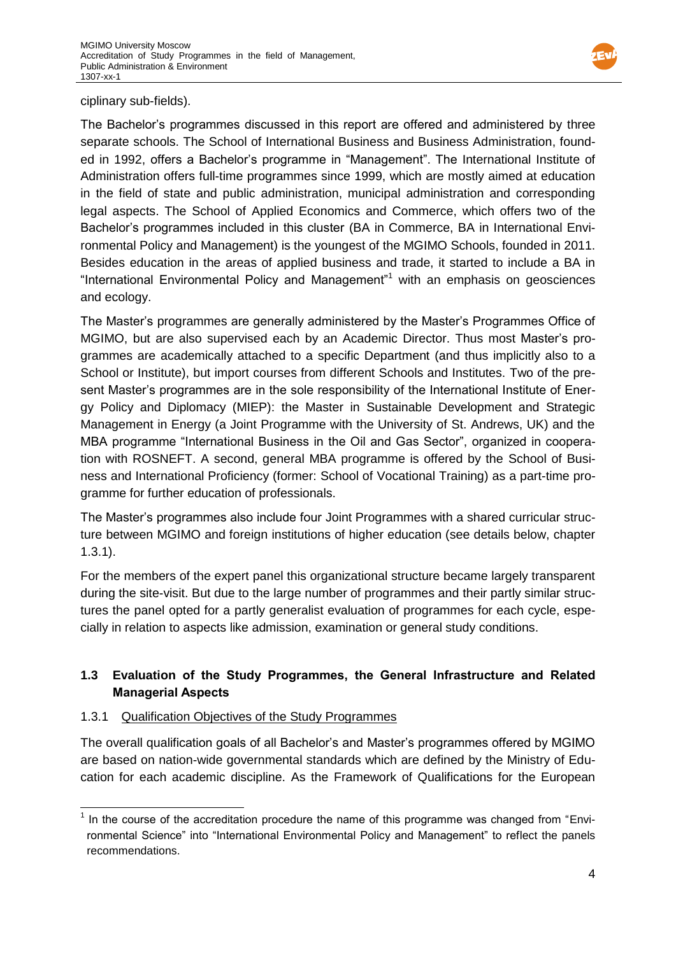

ciplinary sub-fields).

The Bachelor's programmes discussed in this report are offered and administered by three separate schools. The School of International Business and Business Administration, founded in 1992, offers a Bachelor's programme in "Management". The International Institute of Administration offers full-time programmes since 1999, which are mostly aimed at education in the field of state and public administration, municipal administration and corresponding legal aspects. The School of Applied Economics and Commerce, which offers two of the Bachelor's programmes included in this cluster (BA in Commerce, BA in International Environmental Policy and Management) is the youngest of the MGIMO Schools, founded in 2011. Besides education in the areas of applied business and trade, it started to include a BA in "International Environmental Policy and Management"<sup>1</sup> with an emphasis on geosciences and ecology.

The Master's programmes are generally administered by the Master's Programmes Office of MGIMO, but are also supervised each by an Academic Director. Thus most Master's programmes are academically attached to a specific Department (and thus implicitly also to a School or Institute), but import courses from different Schools and Institutes. Two of the present Master's programmes are in the sole responsibility of the International Institute of Energy Policy and Diplomacy (MIEP): the Master in Sustainable Development and Strategic Management in Energy (a Joint Programme with the University of St. Andrews, UK) and the MBA programme "International Business in the Oil and Gas Sector", organized in cooperation with ROSNEFT. A second, general MBA programme is offered by the School of Business and International Proficiency (former: School of Vocational Training) as a part-time programme for further education of professionals.

The Master's programmes also include four Joint Programmes with a shared curricular structure between MGIMO and foreign institutions of higher education (see details below, chapter 1.3.1).

For the members of the expert panel this organizational structure became largely transparent during the site-visit. But due to the large number of programmes and their partly similar structures the panel opted for a partly generalist evaluation of programmes for each cycle, especially in relation to aspects like admission, examination or general study conditions.

# **1.3 Evaluation of the Study Programmes, the General Infrastructure and Related Managerial Aspects**

### 1.3.1 Qualification Objectives of the Study Programmes

The overall qualification goals of all Bachelor's and Master's programmes offered by MGIMO are based on nation-wide governmental standards which are defined by the Ministry of Education for each academic discipline. As the Framework of Qualifications for the European

 $\overline{\phantom{a}}$  $1$  In the course of the accreditation procedure the name of this programme was changed from "Environmental Science" into "International Environmental Policy and Management" to reflect the panels recommendations.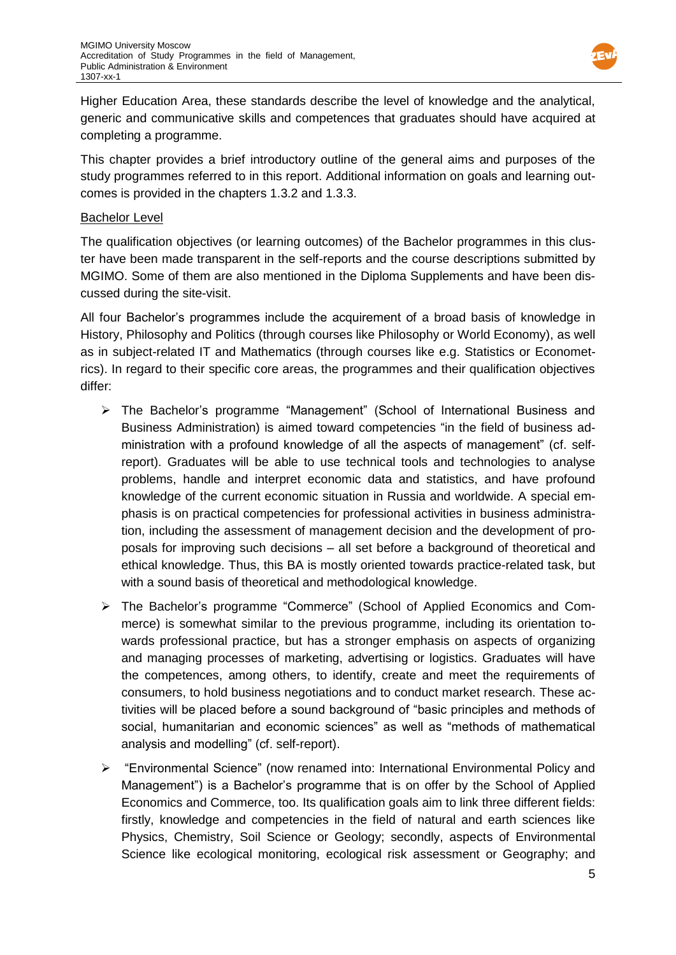

Higher Education Area, these standards describe the level of knowledge and the analytical, generic and communicative skills and competences that graduates should have acquired at completing a programme.

This chapter provides a brief introductory outline of the general aims and purposes of the study programmes referred to in this report. Additional information on goals and learning outcomes is provided in the chapters 1.3.2 and 1.3.3.

#### Bachelor Level

The qualification objectives (or learning outcomes) of the Bachelor programmes in this cluster have been made transparent in the self-reports and the course descriptions submitted by MGIMO. Some of them are also mentioned in the Diploma Supplements and have been discussed during the site-visit.

All four Bachelor's programmes include the acquirement of a broad basis of knowledge in History, Philosophy and Politics (through courses like Philosophy or World Economy), as well as in subject-related IT and Mathematics (through courses like e.g. Statistics or Econometrics). In regard to their specific core areas, the programmes and their qualification objectives differ:

- The Bachelor's programme "Management" (School of International Business and Business Administration) is aimed toward competencies "in the field of business administration with a profound knowledge of all the aspects of management" (cf. selfreport). Graduates will be able to use technical tools and technologies to analyse problems, handle and interpret economic data and statistics, and have profound knowledge of the current economic situation in Russia and worldwide. A special emphasis is on practical competencies for professional activities in business administration, including the assessment of management decision and the development of proposals for improving such decisions – all set before a background of theoretical and ethical knowledge. Thus, this BA is mostly oriented towards practice-related task, but with a sound basis of theoretical and methodological knowledge.
- The Bachelor's programme "Commerce" (School of Applied Economics and Commerce) is somewhat similar to the previous programme, including its orientation towards professional practice, but has a stronger emphasis on aspects of organizing and managing processes of marketing, advertising or logistics. Graduates will have the competences, among others, to identify, create and meet the requirements of consumers, to hold business negotiations and to conduct market research. These activities will be placed before a sound background of "basic principles and methods of social, humanitarian and economic sciences" as well as "methods of mathematical analysis and modelling" (cf. self-report).
- $\triangleright$  "Environmental Science" (now renamed into: International Environmental Policy and Management") is a Bachelor's programme that is on offer by the School of Applied Economics and Commerce, too. Its qualification goals aim to link three different fields: firstly, knowledge and competencies in the field of natural and earth sciences like Physics, Chemistry, Soil Science or Geology; secondly, aspects of Environmental Science like ecological monitoring, ecological risk assessment or Geography; and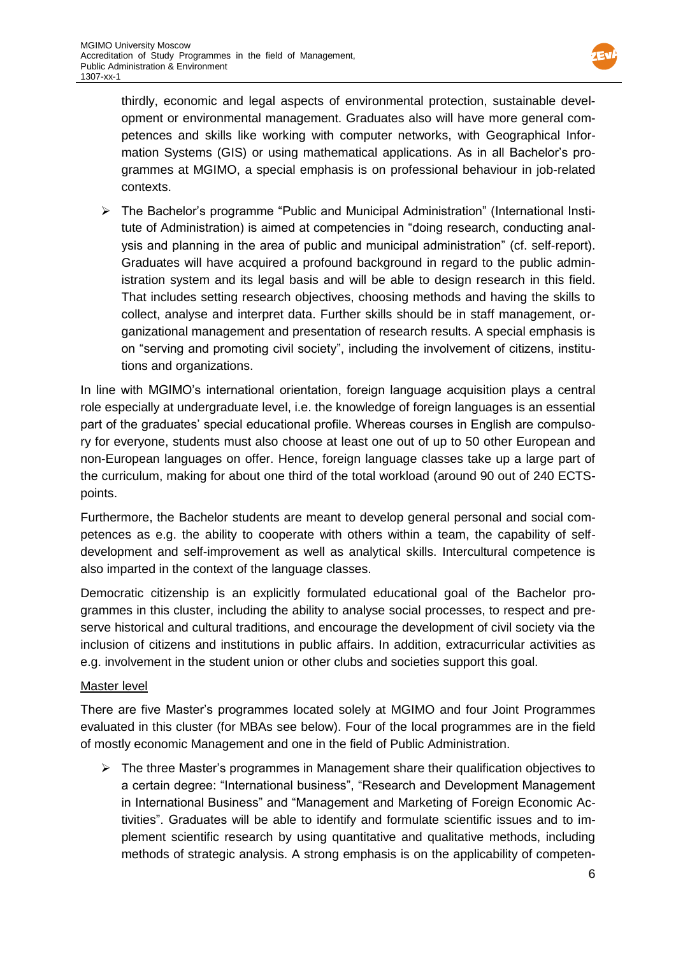

thirdly, economic and legal aspects of environmental protection, sustainable development or environmental management. Graduates also will have more general competences and skills like working with computer networks, with Geographical Information Systems (GIS) or using mathematical applications. As in all Bachelor's programmes at MGIMO, a special emphasis is on professional behaviour in job-related contexts.

 The Bachelor's programme "Public and Municipal Administration" (International Institute of Administration) is aimed at competencies in "doing research, conducting analysis and planning in the area of public and municipal administration" (cf. self-report). Graduates will have acquired a profound background in regard to the public administration system and its legal basis and will be able to design research in this field. That includes setting research objectives, choosing methods and having the skills to collect, analyse and interpret data. Further skills should be in staff management, organizational management and presentation of research results. A special emphasis is on "serving and promoting civil society", including the involvement of citizens, institutions and organizations.

In line with MGIMO's international orientation, foreign language acquisition plays a central role especially at undergraduate level, i.e. the knowledge of foreign languages is an essential part of the graduates' special educational profile. Whereas courses in English are compulsory for everyone, students must also choose at least one out of up to 50 other European and non-European languages on offer. Hence, foreign language classes take up a large part of the curriculum, making for about one third of the total workload (around 90 out of 240 ECTSpoints.

Furthermore, the Bachelor students are meant to develop general personal and social competences as e.g. the ability to cooperate with others within a team, the capability of selfdevelopment and self-improvement as well as analytical skills. Intercultural competence is also imparted in the context of the language classes.

Democratic citizenship is an explicitly formulated educational goal of the Bachelor programmes in this cluster, including the ability to analyse social processes, to respect and preserve historical and cultural traditions, and encourage the development of civil society via the inclusion of citizens and institutions in public affairs. In addition, extracurricular activities as e.g. involvement in the student union or other clubs and societies support this goal.

### Master level

There are five Master's programmes located solely at MGIMO and four Joint Programmes evaluated in this cluster (for MBAs see below). Four of the local programmes are in the field of mostly economic Management and one in the field of Public Administration.

 $\triangleright$  The three Master's programmes in Management share their qualification objectives to a certain degree: "International business", "Research and Development Management in International Business" and "Management and Marketing of Foreign Economic Activities". Graduates will be able to identify and formulate scientific issues and to implement scientific research by using quantitative and qualitative methods, including methods of strategic analysis. A strong emphasis is on the applicability of competen-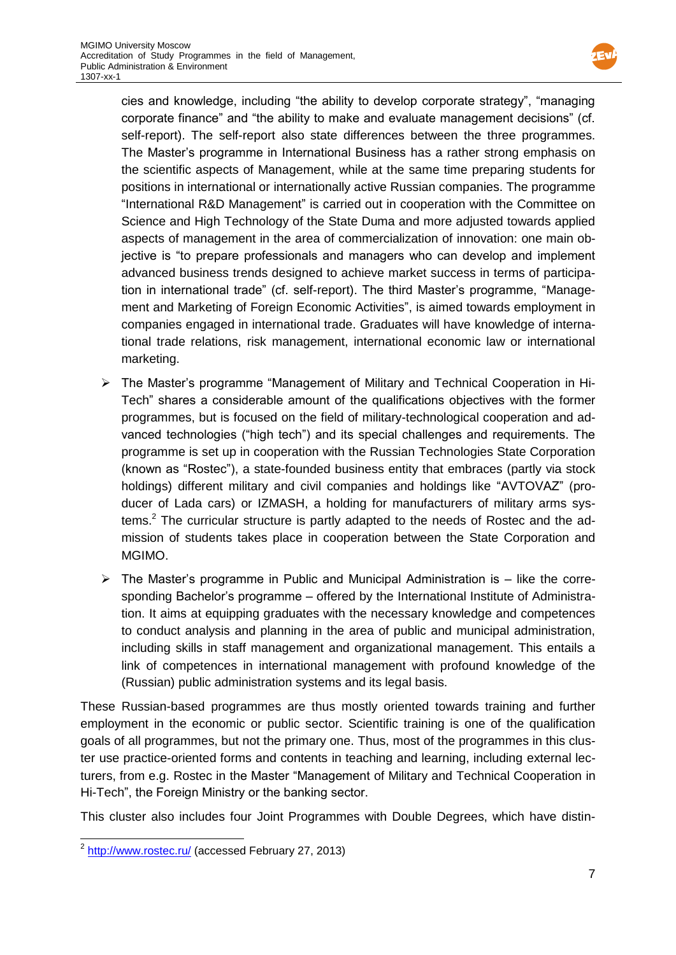

cies and knowledge, including "the ability to develop corporate strategy", "managing corporate finance" and "the ability to make and evaluate management decisions" (cf. self-report). The self-report also state differences between the three programmes. The Master's programme in International Business has a rather strong emphasis on the scientific aspects of Management, while at the same time preparing students for positions in international or internationally active Russian companies. The programme "International R&D Management" is carried out in cooperation with the Committee on Science and High Technology of the State Duma and more adjusted towards applied aspects of management in the area of commercialization of innovation: one main objective is "to prepare professionals and managers who can develop and implement advanced business trends designed to achieve market success in terms of participation in international trade" (cf. self-report). The third Master's programme, "Management and Marketing of Foreign Economic Activities", is aimed towards employment in companies engaged in international trade. Graduates will have knowledge of international trade relations, risk management, international economic law or international marketing.

- $\triangleright$  The Master's programme "Management of Military and Technical Cooperation in Hi-Tech" shares a considerable amount of the qualifications objectives with the former programmes, but is focused on the field of military-technological cooperation and advanced technologies ("high tech") and its special challenges and requirements. The programme is set up in cooperation with the Russian Technologies State Corporation (known as "Rostec"), a state-founded business entity that embraces (partly via stock holdings) different military and civil companies and holdings like "AVTOVAZ" (producer of Lada cars) or IZMASH, a holding for manufacturers of military arms systems.<sup>2</sup> The curricular structure is partly adapted to the needs of Rostec and the admission of students takes place in cooperation between the State Corporation and MGIMO.
- $\triangleright$  The Master's programme in Public and Municipal Administration is  $-$  like the corresponding Bachelor's programme – offered by the International Institute of Administration. It aims at equipping graduates with the necessary knowledge and competences to conduct analysis and planning in the area of public and municipal administration, including skills in staff management and organizational management. This entails a link of competences in international management with profound knowledge of the (Russian) public administration systems and its legal basis.

These Russian-based programmes are thus mostly oriented towards training and further employment in the economic or public sector. Scientific training is one of the qualification goals of all programmes, but not the primary one. Thus, most of the programmes in this cluster use practice-oriented forms and contents in teaching and learning, including external lecturers, from e.g. Rostec in the Master "Management of Military and Technical Cooperation in Hi-Tech", the Foreign Ministry or the banking sector.

This cluster also includes four Joint Programmes with Double Degrees, which have distin-

 2 <http://www.rostec.ru/> (accessed February 27, 2013)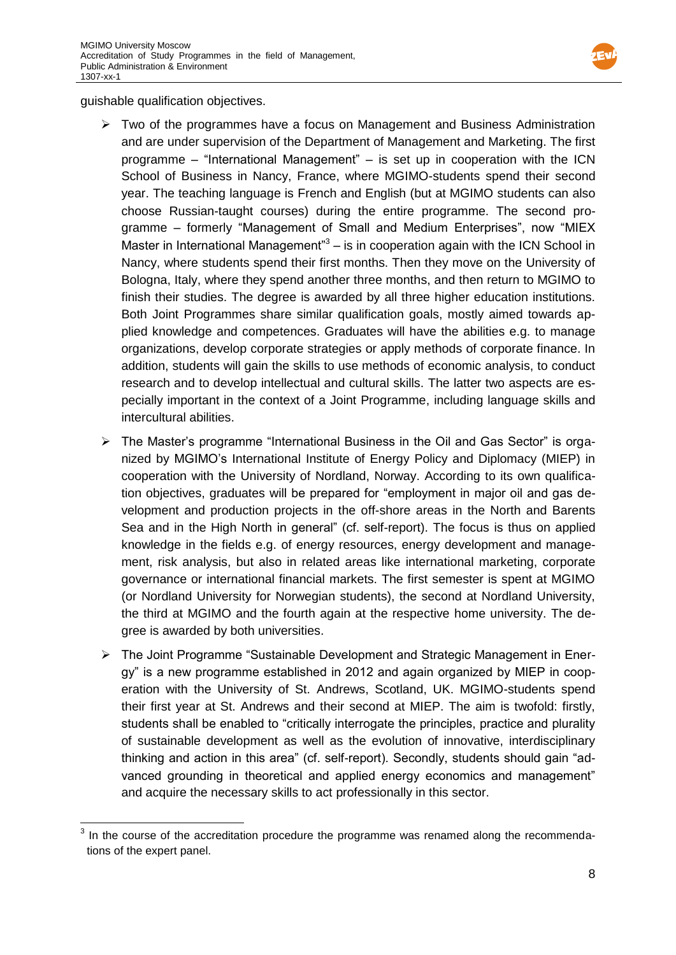

guishable qualification objectives.

- $\triangleright$  Two of the programmes have a focus on Management and Business Administration and are under supervision of the Department of Management and Marketing. The first programme – "International Management" – is set up in cooperation with the ICN School of Business in Nancy, France, where MGIMO-students spend their second year. The teaching language is French and English (but at MGIMO students can also choose Russian-taught courses) during the entire programme. The second programme – formerly "Management of Small and Medium Enterprises", now "MIEX Master in International Management<sup>3</sup> – is in cooperation again with the ICN School in Nancy, where students spend their first months. Then they move on the University of Bologna, Italy, where they spend another three months, and then return to MGIMO to finish their studies. The degree is awarded by all three higher education institutions. Both Joint Programmes share similar qualification goals, mostly aimed towards applied knowledge and competences. Graduates will have the abilities e.g. to manage organizations, develop corporate strategies or apply methods of corporate finance. In addition, students will gain the skills to use methods of economic analysis, to conduct research and to develop intellectual and cultural skills. The latter two aspects are especially important in the context of a Joint Programme, including language skills and intercultural abilities.
- $\triangleright$  The Master's programme "International Business in the Oil and Gas Sector" is organized by MGIMO's International Institute of Energy Policy and Diplomacy (MIEP) in cooperation with the University of Nordland, Norway. According to its own qualification objectives, graduates will be prepared for "employment in major oil and gas development and production projects in the off-shore areas in the North and Barents Sea and in the High North in general" (cf. self-report). The focus is thus on applied knowledge in the fields e.g. of energy resources, energy development and management, risk analysis, but also in related areas like international marketing, corporate governance or international financial markets. The first semester is spent at MGIMO (or Nordland University for Norwegian students), the second at Nordland University, the third at MGIMO and the fourth again at the respective home university. The degree is awarded by both universities.
- The Joint Programme "Sustainable Development and Strategic Management in Energy" is a new programme established in 2012 and again organized by MIEP in cooperation with the University of St. Andrews, Scotland, UK. MGIMO-students spend their first year at St. Andrews and their second at MIEP. The aim is twofold: firstly, students shall be enabled to "critically interrogate the principles, practice and plurality of sustainable development as well as the evolution of innovative, interdisciplinary thinking and action in this area" (cf. self-report). Secondly, students should gain "advanced grounding in theoretical and applied energy economics and management" and acquire the necessary skills to act professionally in this sector.

**EXECUTE:**<br><sup>3</sup> In the course of the accreditation procedure the programme was renamed along the recommendations of the expert panel.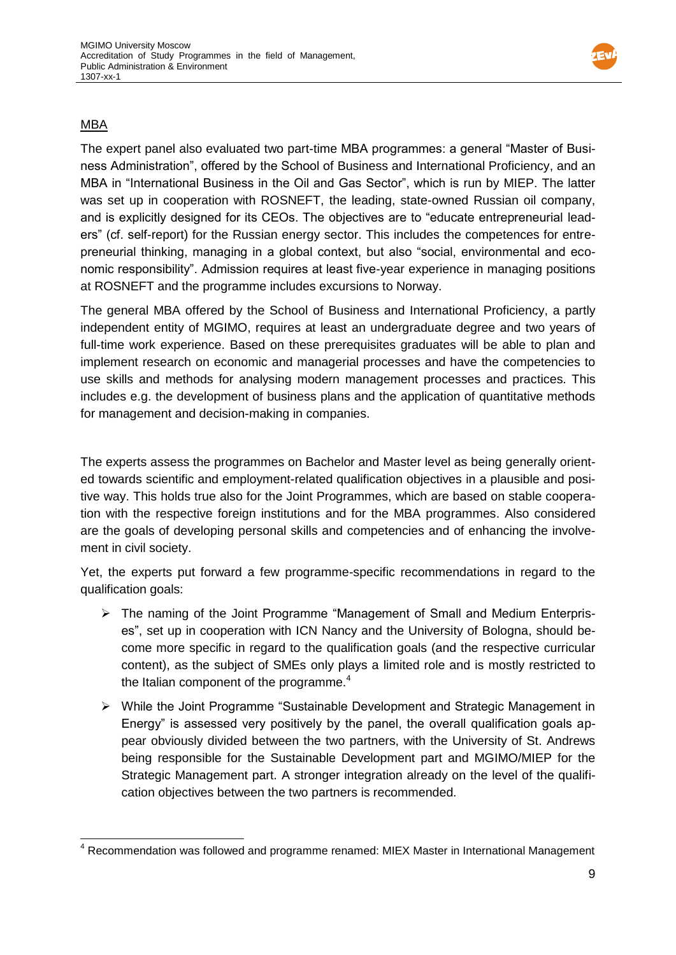

# MBA

The expert panel also evaluated two part-time MBA programmes: a general "Master of Business Administration", offered by the School of Business and International Proficiency, and an MBA in "International Business in the Oil and Gas Sector", which is run by MIEP. The latter was set up in cooperation with ROSNEFT, the leading, state-owned Russian oil company, and is explicitly designed for its CEOs. The objectives are to "educate entrepreneurial leaders" (cf. self-report) for the Russian energy sector. This includes the competences for entrepreneurial thinking, managing in a global context, but also "social, environmental and economic responsibility". Admission requires at least five-year experience in managing positions at ROSNEFT and the programme includes excursions to Norway.

The general MBA offered by the School of Business and International Proficiency, a partly independent entity of MGIMO, requires at least an undergraduate degree and two years of full-time work experience. Based on these prerequisites graduates will be able to plan and implement research on economic and managerial processes and have the competencies to use skills and methods for analysing modern management processes and practices. This includes e.g. the development of business plans and the application of quantitative methods for management and decision-making in companies.

The experts assess the programmes on Bachelor and Master level as being generally oriented towards scientific and employment-related qualification objectives in a plausible and positive way. This holds true also for the Joint Programmes, which are based on stable cooperation with the respective foreign institutions and for the MBA programmes. Also considered are the goals of developing personal skills and competencies and of enhancing the involvement in civil society.

Yet, the experts put forward a few programme-specific recommendations in regard to the qualification goals:

- The naming of the Joint Programme "Management of Small and Medium Enterprises", set up in cooperation with ICN Nancy and the University of Bologna, should become more specific in regard to the qualification goals (and the respective curricular content), as the subject of SMEs only plays a limited role and is mostly restricted to the Italian component of the programme.<sup>4</sup>
- $\triangleright$  While the Joint Programme "Sustainable Development and Strategic Management in Energy" is assessed very positively by the panel, the overall qualification goals appear obviously divided between the two partners, with the University of St. Andrews being responsible for the Sustainable Development part and MGIMO/MIEP for the Strategic Management part. A stronger integration already on the level of the qualification objectives between the two partners is recommended.

  $4$  Recommendation was followed and programme renamed: MIEX Master in International Management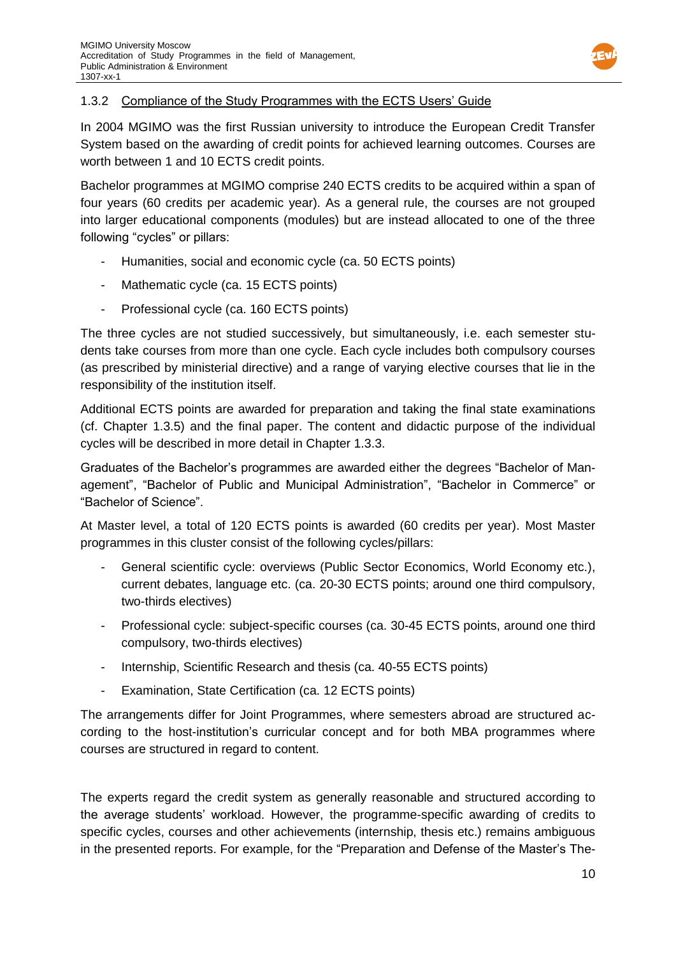

### 1.3.2 Compliance of the Study Programmes with the ECTS Users' Guide

In 2004 MGIMO was the first Russian university to introduce the European Credit Transfer System based on the awarding of credit points for achieved learning outcomes. Courses are worth between 1 and 10 ECTS credit points.

Bachelor programmes at MGIMO comprise 240 ECTS credits to be acquired within a span of four years (60 credits per academic year). As a general rule, the courses are not grouped into larger educational components (modules) but are instead allocated to one of the three following "cycles" or pillars:

- Humanities, social and economic cycle (ca. 50 ECTS points)
- Mathematic cycle (ca. 15 ECTS points)
- Professional cycle (ca. 160 ECTS points)

The three cycles are not studied successively, but simultaneously, i.e. each semester students take courses from more than one cycle. Each cycle includes both compulsory courses (as prescribed by ministerial directive) and a range of varying elective courses that lie in the responsibility of the institution itself.

Additional ECTS points are awarded for preparation and taking the final state examinations (cf. Chapter 1.3.5) and the final paper. The content and didactic purpose of the individual cycles will be described in more detail in Chapter 1.3.3.

Graduates of the Bachelor's programmes are awarded either the degrees "Bachelor of Management", "Bachelor of Public and Municipal Administration", "Bachelor in Commerce" or "Bachelor of Science".

At Master level, a total of 120 ECTS points is awarded (60 credits per year). Most Master programmes in this cluster consist of the following cycles/pillars:

- General scientific cycle: overviews (Public Sector Economics, World Economy etc.), current debates, language etc. (ca. 20-30 ECTS points; around one third compulsory, two-thirds electives)
- Professional cycle: subject-specific courses (ca. 30-45 ECTS points, around one third compulsory, two-thirds electives)
- Internship, Scientific Research and thesis (ca. 40-55 ECTS points)
- Examination, State Certification (ca. 12 ECTS points)

The arrangements differ for Joint Programmes, where semesters abroad are structured according to the host-institution's curricular concept and for both MBA programmes where courses are structured in regard to content.

The experts regard the credit system as generally reasonable and structured according to the average students' workload. However, the programme-specific awarding of credits to specific cycles, courses and other achievements (internship, thesis etc.) remains ambiguous in the presented reports. For example, for the "Preparation and Defense of the Master's The-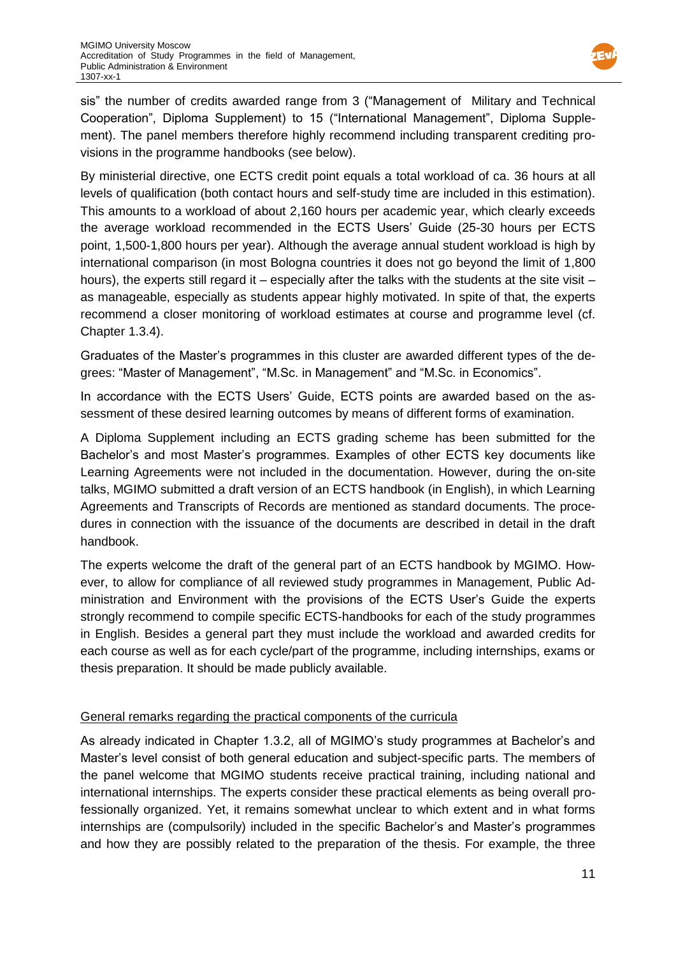

sis" the number of credits awarded range from 3 ("Management of Military and Technical Cooperation", Diploma Supplement) to 15 ("International Management", Diploma Supplement). The panel members therefore highly recommend including transparent crediting provisions in the programme handbooks (see below).

By ministerial directive, one ECTS credit point equals a total workload of ca. 36 hours at all levels of qualification (both contact hours and self-study time are included in this estimation). This amounts to a workload of about 2,160 hours per academic year, which clearly exceeds the average workload recommended in the ECTS Users' Guide (25-30 hours per ECTS point, 1,500-1,800 hours per year). Although the average annual student workload is high by international comparison (in most Bologna countries it does not go beyond the limit of 1,800 hours), the experts still regard it - especially after the talks with the students at the site visit as manageable, especially as students appear highly motivated. In spite of that, the experts recommend a closer monitoring of workload estimates at course and programme level (cf. Chapter 1.3.4).

Graduates of the Master's programmes in this cluster are awarded different types of the degrees: "Master of Management", "M.Sc. in Management" and "M.Sc. in Economics".

In accordance with the ECTS Users' Guide, ECTS points are awarded based on the assessment of these desired learning outcomes by means of different forms of examination.

A Diploma Supplement including an ECTS grading scheme has been submitted for the Bachelor's and most Master's programmes. Examples of other ECTS key documents like Learning Agreements were not included in the documentation. However, during the on-site talks, MGIMO submitted a draft version of an ECTS handbook (in English), in which Learning Agreements and Transcripts of Records are mentioned as standard documents. The procedures in connection with the issuance of the documents are described in detail in the draft handbook.

The experts welcome the draft of the general part of an ECTS handbook by MGIMO. However, to allow for compliance of all reviewed study programmes in Management, Public Administration and Environment with the provisions of the ECTS User's Guide the experts strongly recommend to compile specific ECTS-handbooks for each of the study programmes in English. Besides a general part they must include the workload and awarded credits for each course as well as for each cycle/part of the programme, including internships, exams or thesis preparation. It should be made publicly available.

# General remarks regarding the practical components of the curricula

As already indicated in Chapter 1.3.2, all of MGIMO's study programmes at Bachelor's and Master's level consist of both general education and subject-specific parts. The members of the panel welcome that MGIMO students receive practical training, including national and international internships. The experts consider these practical elements as being overall professionally organized. Yet, it remains somewhat unclear to which extent and in what forms internships are (compulsorily) included in the specific Bachelor's and Master's programmes and how they are possibly related to the preparation of the thesis. For example, the three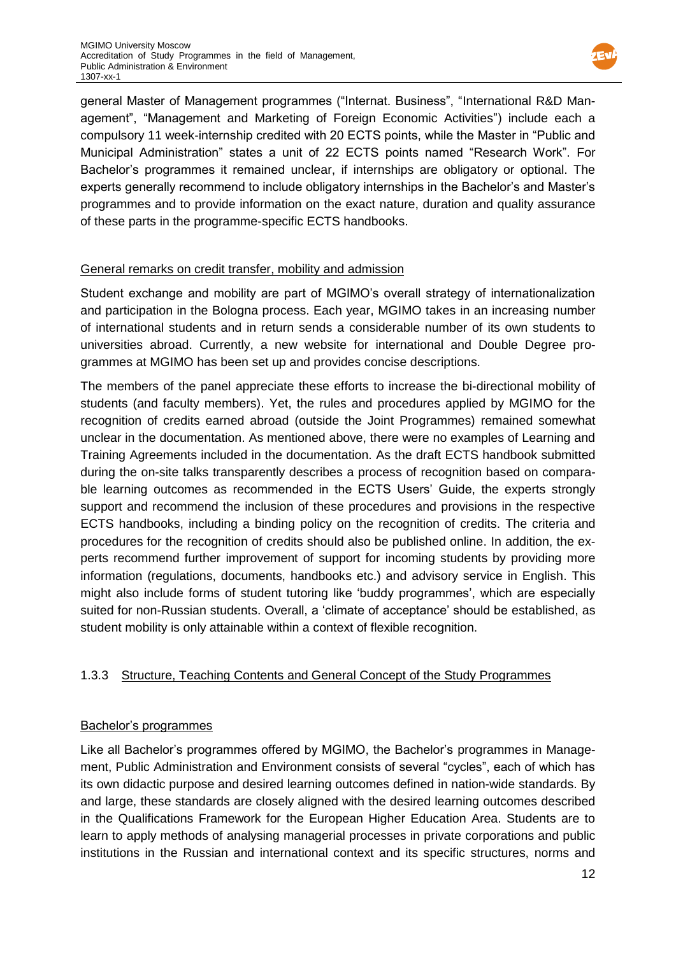

general Master of Management programmes ("Internat. Business", "International R&D Management", "Management and Marketing of Foreign Economic Activities") include each a compulsory 11 week-internship credited with 20 ECTS points, while the Master in "Public and Municipal Administration" states a unit of 22 ECTS points named "Research Work". For Bachelor's programmes it remained unclear, if internships are obligatory or optional. The experts generally recommend to include obligatory internships in the Bachelor's and Master's programmes and to provide information on the exact nature, duration and quality assurance of these parts in the programme-specific ECTS handbooks.

### General remarks on credit transfer, mobility and admission

Student exchange and mobility are part of MGIMO's overall strategy of internationalization and participation in the Bologna process. Each year, MGIMO takes in an increasing number of international students and in return sends a considerable number of its own students to universities abroad. Currently, a new website for international and Double Degree programmes at MGIMO has been set up and provides concise descriptions.

The members of the panel appreciate these efforts to increase the bi-directional mobility of students (and faculty members). Yet, the rules and procedures applied by MGIMO for the recognition of credits earned abroad (outside the Joint Programmes) remained somewhat unclear in the documentation. As mentioned above, there were no examples of Learning and Training Agreements included in the documentation. As the draft ECTS handbook submitted during the on-site talks transparently describes a process of recognition based on comparable learning outcomes as recommended in the ECTS Users' Guide, the experts strongly support and recommend the inclusion of these procedures and provisions in the respective ECTS handbooks, including a binding policy on the recognition of credits. The criteria and procedures for the recognition of credits should also be published online. In addition, the experts recommend further improvement of support for incoming students by providing more information (regulations, documents, handbooks etc.) and advisory service in English. This might also include forms of student tutoring like 'buddy programmes', which are especially suited for non-Russian students. Overall, a 'climate of acceptance' should be established, as student mobility is only attainable within a context of flexible recognition.

# 1.3.3 Structure, Teaching Contents and General Concept of the Study Programmes

### Bachelor's programmes

Like all Bachelor's programmes offered by MGIMO, the Bachelor's programmes in Management, Public Administration and Environment consists of several "cycles", each of which has its own didactic purpose and desired learning outcomes defined in nation-wide standards. By and large, these standards are closely aligned with the desired learning outcomes described in the Qualifications Framework for the European Higher Education Area. Students are to learn to apply methods of analysing managerial processes in private corporations and public institutions in the Russian and international context and its specific structures, norms and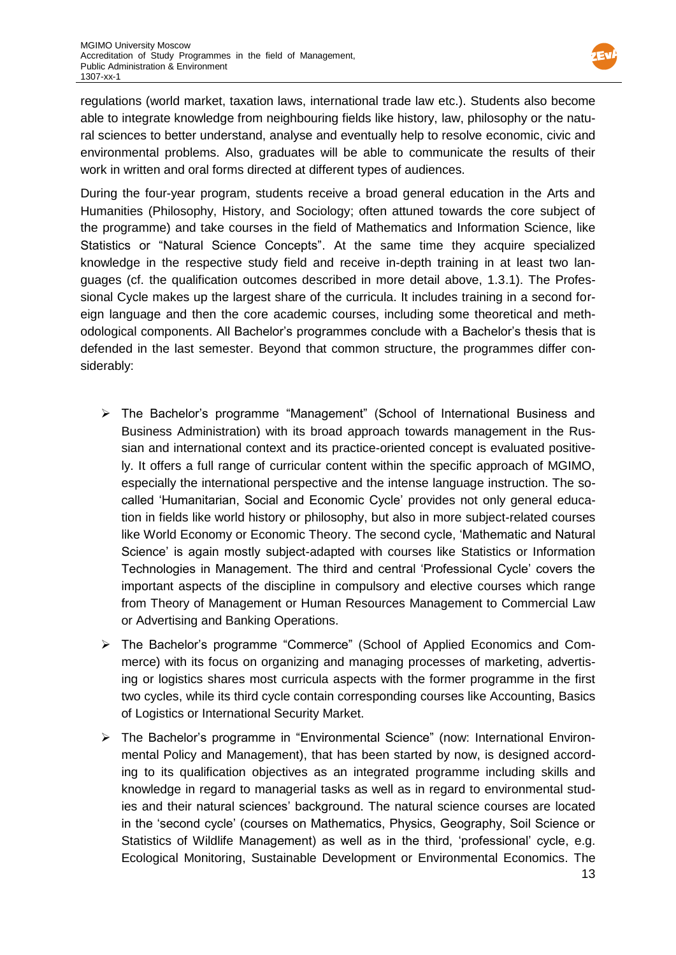

regulations (world market, taxation laws, international trade law etc.). Students also become able to integrate knowledge from neighbouring fields like history, law, philosophy or the natural sciences to better understand, analyse and eventually help to resolve economic, civic and environmental problems. Also, graduates will be able to communicate the results of their work in written and oral forms directed at different types of audiences.

During the four-year program, students receive a broad general education in the Arts and Humanities (Philosophy, History, and Sociology; often attuned towards the core subject of the programme) and take courses in the field of Mathematics and Information Science, like Statistics or "Natural Science Concepts". At the same time they acquire specialized knowledge in the respective study field and receive in-depth training in at least two languages (cf. the qualification outcomes described in more detail above, 1.3.1). The Professional Cycle makes up the largest share of the curricula. It includes training in a second foreign language and then the core academic courses, including some theoretical and methodological components. All Bachelor's programmes conclude with a Bachelor's thesis that is defended in the last semester. Beyond that common structure, the programmes differ considerably:

- The Bachelor's programme "Management" (School of International Business and Business Administration) with its broad approach towards management in the Russian and international context and its practice-oriented concept is evaluated positively. It offers a full range of curricular content within the specific approach of MGIMO, especially the international perspective and the intense language instruction. The socalled 'Humanitarian, Social and Economic Cycle' provides not only general education in fields like world history or philosophy, but also in more subject-related courses like World Economy or Economic Theory. The second cycle, 'Mathematic and Natural Science' is again mostly subject-adapted with courses like Statistics or Information Technologies in Management. The third and central 'Professional Cycle' covers the important aspects of the discipline in compulsory and elective courses which range from Theory of Management or Human Resources Management to Commercial Law or Advertising and Banking Operations.
- The Bachelor's programme "Commerce" (School of Applied Economics and Commerce) with its focus on organizing and managing processes of marketing, advertising or logistics shares most curricula aspects with the former programme in the first two cycles, while its third cycle contain corresponding courses like Accounting, Basics of Logistics or International Security Market.
- The Bachelor's programme in "Environmental Science" (now: International Environmental Policy and Management), that has been started by now, is designed according to its qualification objectives as an integrated programme including skills and knowledge in regard to managerial tasks as well as in regard to environmental studies and their natural sciences' background. The natural science courses are located in the 'second cycle' (courses on Mathematics, Physics, Geography, Soil Science or Statistics of Wildlife Management) as well as in the third, 'professional' cycle, e.g. Ecological Monitoring, Sustainable Development or Environmental Economics. The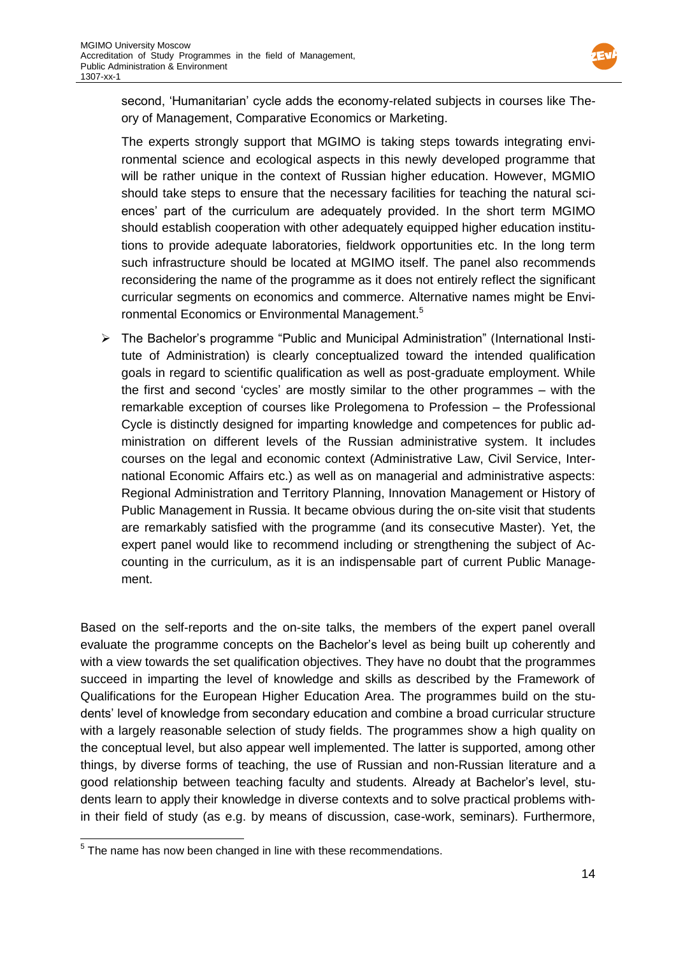

second, 'Humanitarian' cycle adds the economy-related subjects in courses like Theory of Management, Comparative Economics or Marketing.

The experts strongly support that MGIMO is taking steps towards integrating environmental science and ecological aspects in this newly developed programme that will be rather unique in the context of Russian higher education. However, MGMIO should take steps to ensure that the necessary facilities for teaching the natural sciences' part of the curriculum are adequately provided. In the short term MGIMO should establish cooperation with other adequately equipped higher education institutions to provide adequate laboratories, fieldwork opportunities etc. In the long term such infrastructure should be located at MGIMO itself. The panel also recommends reconsidering the name of the programme as it does not entirely reflect the significant curricular segments on economics and commerce. Alternative names might be Environmental Economics or Environmental Management.<sup>5</sup>

 The Bachelor's programme "Public and Municipal Administration" (International Institute of Administration) is clearly conceptualized toward the intended qualification goals in regard to scientific qualification as well as post-graduate employment. While the first and second 'cycles' are mostly similar to the other programmes – with the remarkable exception of courses like Prolegomena to Profession – the Professional Cycle is distinctly designed for imparting knowledge and competences for public administration on different levels of the Russian administrative system. It includes courses on the legal and economic context (Administrative Law, Civil Service, International Economic Affairs etc.) as well as on managerial and administrative aspects: Regional Administration and Territory Planning, Innovation Management or History of Public Management in Russia. It became obvious during the on-site visit that students are remarkably satisfied with the programme (and its consecutive Master). Yet, the expert panel would like to recommend including or strengthening the subject of Accounting in the curriculum, as it is an indispensable part of current Public Management.

Based on the self-reports and the on-site talks, the members of the expert panel overall evaluate the programme concepts on the Bachelor's level as being built up coherently and with a view towards the set qualification objectives. They have no doubt that the programmes succeed in imparting the level of knowledge and skills as described by the Framework of Qualifications for the European Higher Education Area. The programmes build on the students' level of knowledge from secondary education and combine a broad curricular structure with a largely reasonable selection of study fields. The programmes show a high quality on the conceptual level, but also appear well implemented. The latter is supported, among other things, by diverse forms of teaching, the use of Russian and non-Russian literature and a good relationship between teaching faculty and students. Already at Bachelor's level, students learn to apply their knowledge in diverse contexts and to solve practical problems within their field of study (as e.g. by means of discussion, case-work, seminars). Furthermore,

**EXECUTE:**<br><sup>5</sup> The name has now been changed in line with these recommendations.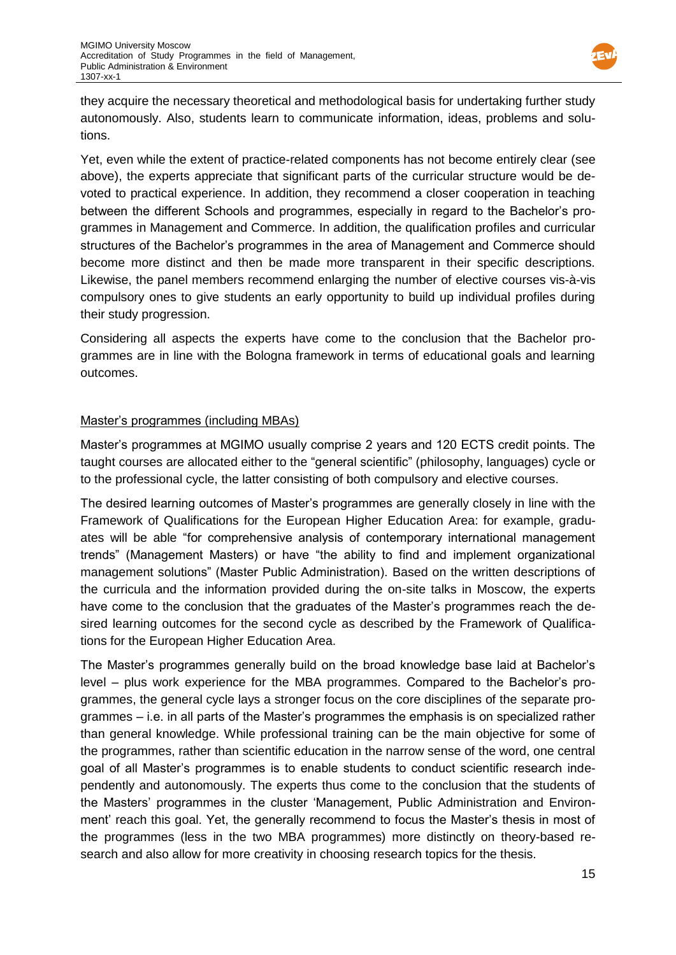

they acquire the necessary theoretical and methodological basis for undertaking further study autonomously. Also, students learn to communicate information, ideas, problems and solutions.

Yet, even while the extent of practice-related components has not become entirely clear (see above), the experts appreciate that significant parts of the curricular structure would be devoted to practical experience. In addition, they recommend a closer cooperation in teaching between the different Schools and programmes, especially in regard to the Bachelor's programmes in Management and Commerce. In addition, the qualification profiles and curricular structures of the Bachelor's programmes in the area of Management and Commerce should become more distinct and then be made more transparent in their specific descriptions. Likewise, the panel members recommend enlarging the number of elective courses vis-à-vis compulsory ones to give students an early opportunity to build up individual profiles during their study progression.

Considering all aspects the experts have come to the conclusion that the Bachelor programmes are in line with the Bologna framework in terms of educational goals and learning outcomes.

### Master's programmes (including MBAs)

Master's programmes at MGIMO usually comprise 2 years and 120 ECTS credit points. The taught courses are allocated either to the "general scientific" (philosophy, languages) cycle or to the professional cycle, the latter consisting of both compulsory and elective courses.

The desired learning outcomes of Master's programmes are generally closely in line with the Framework of Qualifications for the European Higher Education Area: for example, graduates will be able "for comprehensive analysis of contemporary international management trends" (Management Masters) or have "the ability to find and implement organizational management solutions" (Master Public Administration). Based on the written descriptions of the curricula and the information provided during the on-site talks in Moscow, the experts have come to the conclusion that the graduates of the Master's programmes reach the desired learning outcomes for the second cycle as described by the Framework of Qualifications for the European Higher Education Area.

The Master's programmes generally build on the broad knowledge base laid at Bachelor's level – plus work experience for the MBA programmes. Compared to the Bachelor's programmes, the general cycle lays a stronger focus on the core disciplines of the separate programmes – i.e. in all parts of the Master's programmes the emphasis is on specialized rather than general knowledge. While professional training can be the main objective for some of the programmes, rather than scientific education in the narrow sense of the word, one central goal of all Master's programmes is to enable students to conduct scientific research independently and autonomously. The experts thus come to the conclusion that the students of the Masters' programmes in the cluster 'Management, Public Administration and Environment' reach this goal. Yet, the generally recommend to focus the Master's thesis in most of the programmes (less in the two MBA programmes) more distinctly on theory-based research and also allow for more creativity in choosing research topics for the thesis.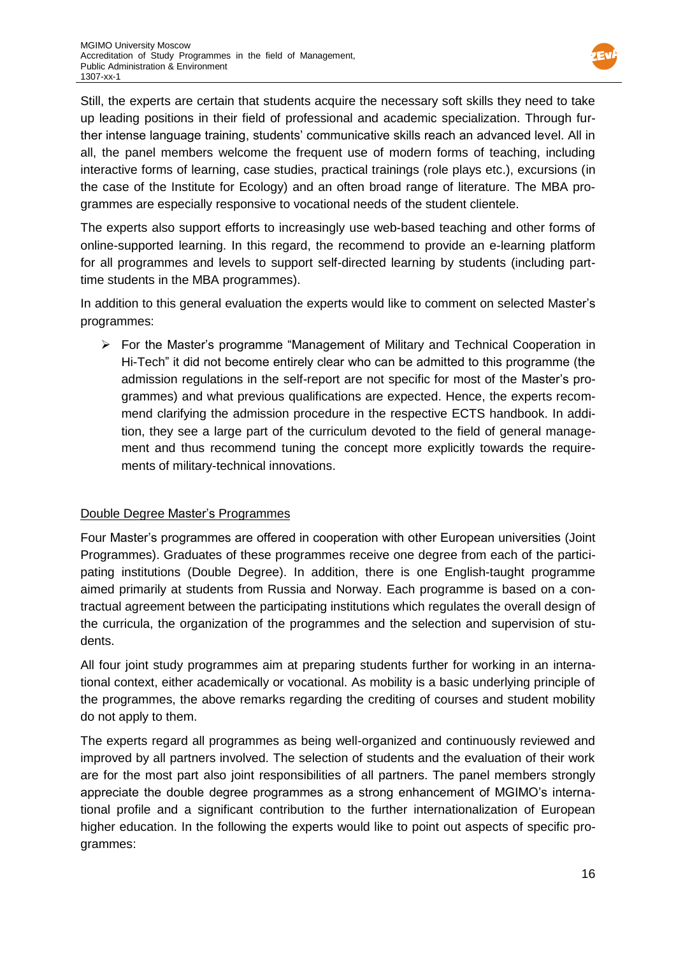

Still, the experts are certain that students acquire the necessary soft skills they need to take up leading positions in their field of professional and academic specialization. Through further intense language training, students' communicative skills reach an advanced level. All in all, the panel members welcome the frequent use of modern forms of teaching, including interactive forms of learning, case studies, practical trainings (role plays etc.), excursions (in the case of the Institute for Ecology) and an often broad range of literature. The MBA programmes are especially responsive to vocational needs of the student clientele.

The experts also support efforts to increasingly use web-based teaching and other forms of online-supported learning. In this regard, the recommend to provide an e-learning platform for all programmes and levels to support self-directed learning by students (including parttime students in the MBA programmes).

In addition to this general evaluation the experts would like to comment on selected Master's programmes:

 $\triangleright$  For the Master's programme "Management of Military and Technical Cooperation in Hi-Tech" it did not become entirely clear who can be admitted to this programme (the admission regulations in the self-report are not specific for most of the Master's programmes) and what previous qualifications are expected. Hence, the experts recommend clarifying the admission procedure in the respective ECTS handbook. In addition, they see a large part of the curriculum devoted to the field of general management and thus recommend tuning the concept more explicitly towards the requirements of military-technical innovations.

# Double Degree Master's Programmes

Four Master's programmes are offered in cooperation with other European universities (Joint Programmes). Graduates of these programmes receive one degree from each of the participating institutions (Double Degree). In addition, there is one English-taught programme aimed primarily at students from Russia and Norway. Each programme is based on a contractual agreement between the participating institutions which regulates the overall design of the curricula, the organization of the programmes and the selection and supervision of students.

All four joint study programmes aim at preparing students further for working in an international context, either academically or vocational. As mobility is a basic underlying principle of the programmes, the above remarks regarding the crediting of courses and student mobility do not apply to them.

The experts regard all programmes as being well-organized and continuously reviewed and improved by all partners involved. The selection of students and the evaluation of their work are for the most part also joint responsibilities of all partners. The panel members strongly appreciate the double degree programmes as a strong enhancement of MGIMO's international profile and a significant contribution to the further internationalization of European higher education. In the following the experts would like to point out aspects of specific programmes: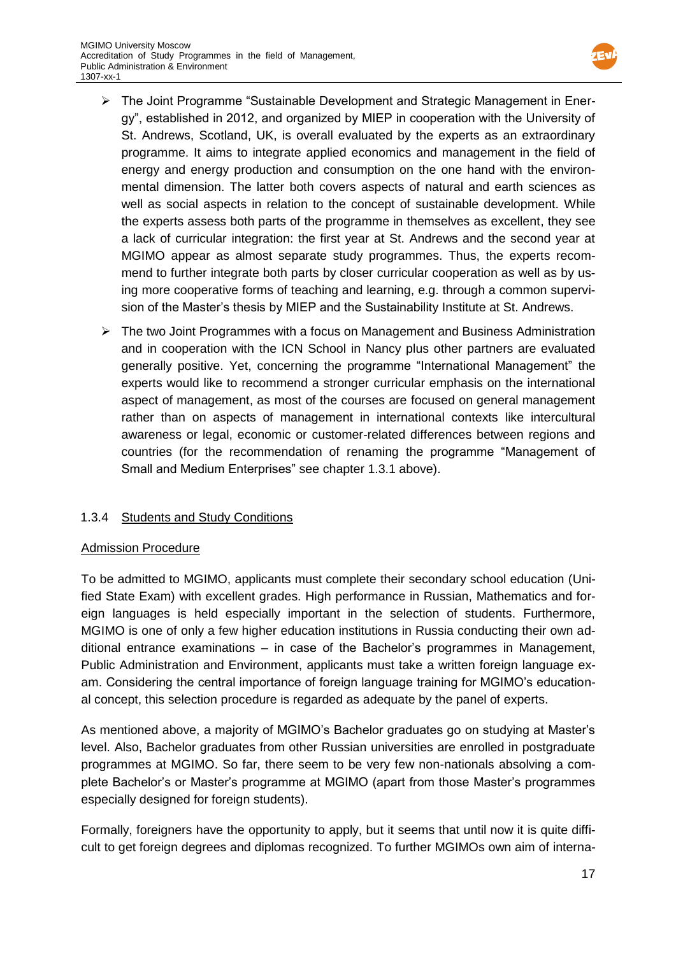

- The Joint Programme "Sustainable Development and Strategic Management in Energy", established in 2012, and organized by MIEP in cooperation with the University of St. Andrews, Scotland, UK, is overall evaluated by the experts as an extraordinary programme. It aims to integrate applied economics and management in the field of energy and energy production and consumption on the one hand with the environmental dimension. The latter both covers aspects of natural and earth sciences as well as social aspects in relation to the concept of sustainable development. While the experts assess both parts of the programme in themselves as excellent, they see a lack of curricular integration: the first year at St. Andrews and the second year at MGIMO appear as almost separate study programmes. Thus, the experts recommend to further integrate both parts by closer curricular cooperation as well as by using more cooperative forms of teaching and learning, e.g. through a common supervision of the Master's thesis by MIEP and the Sustainability Institute at St. Andrews.
- $\triangleright$  The two Joint Programmes with a focus on Management and Business Administration and in cooperation with the ICN School in Nancy plus other partners are evaluated generally positive. Yet, concerning the programme "International Management" the experts would like to recommend a stronger curricular emphasis on the international aspect of management, as most of the courses are focused on general management rather than on aspects of management in international contexts like intercultural awareness or legal, economic or customer-related differences between regions and countries (for the recommendation of renaming the programme "Management of Small and Medium Enterprises" see chapter 1.3.1 above).

# 1.3.4 Students and Study Conditions

### Admission Procedure

To be admitted to MGIMO, applicants must complete their secondary school education (Unified State Exam) with excellent grades. High performance in Russian, Mathematics and foreign languages is held especially important in the selection of students. Furthermore, MGIMO is one of only a few higher education institutions in Russia conducting their own additional entrance examinations – in case of the Bachelor's programmes in Management, Public Administration and Environment, applicants must take a written foreign language exam. Considering the central importance of foreign language training for MGIMO's educational concept, this selection procedure is regarded as adequate by the panel of experts.

As mentioned above, a majority of MGIMO's Bachelor graduates go on studying at Master's level. Also, Bachelor graduates from other Russian universities are enrolled in postgraduate programmes at MGIMO. So far, there seem to be very few non-nationals absolving a complete Bachelor's or Master's programme at MGIMO (apart from those Master's programmes especially designed for foreign students).

Formally, foreigners have the opportunity to apply, but it seems that until now it is quite difficult to get foreign degrees and diplomas recognized. To further MGIMOs own aim of interna-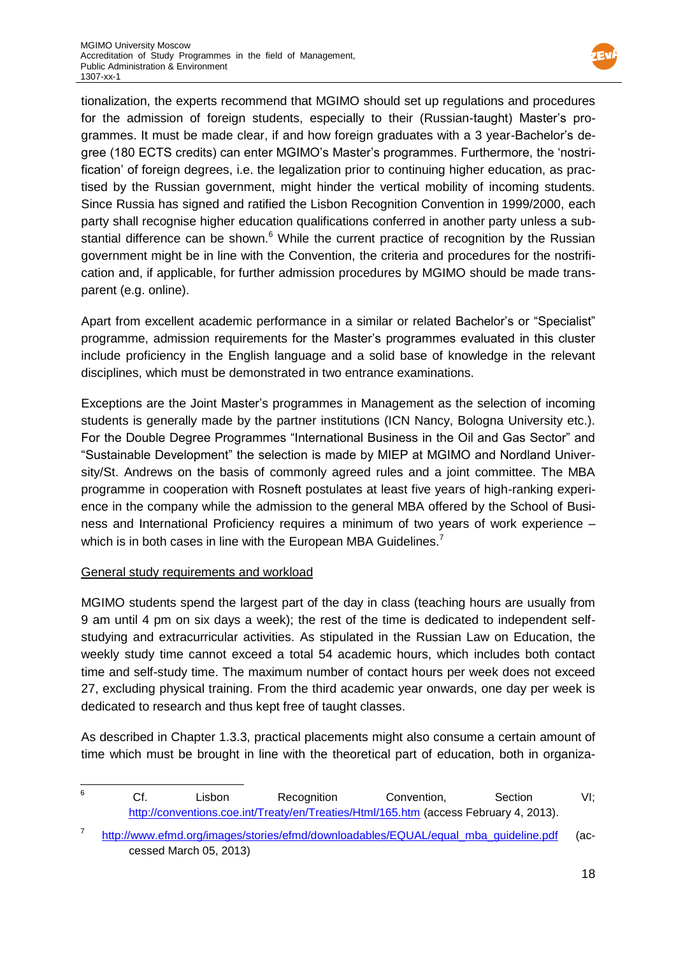

tionalization, the experts recommend that MGIMO should set up regulations and procedures for the admission of foreign students, especially to their (Russian-taught) Master's programmes. It must be made clear, if and how foreign graduates with a 3 year-Bachelor's degree (180 ECTS credits) can enter MGIMO's Master's programmes. Furthermore, the 'nostrification' of foreign degrees, i.e. the legalization prior to continuing higher education, as practised by the Russian government, might hinder the vertical mobility of incoming students. Since Russia has signed and ratified the Lisbon Recognition Convention in 1999/2000, each party shall recognise higher education qualifications conferred in another party unless a substantial difference can be shown. $6$  While the current practice of recognition by the Russian government might be in line with the Convention, the criteria and procedures for the nostrification and, if applicable, for further admission procedures by MGIMO should be made transparent (e.g. online).

Apart from excellent academic performance in a similar or related Bachelor's or "Specialist" programme, admission requirements for the Master's programmes evaluated in this cluster include proficiency in the English language and a solid base of knowledge in the relevant disciplines, which must be demonstrated in two entrance examinations.

Exceptions are the Joint Master's programmes in Management as the selection of incoming students is generally made by the partner institutions (ICN Nancy, Bologna University etc.). For the Double Degree Programmes "International Business in the Oil and Gas Sector" and "Sustainable Development" the selection is made by MIEP at MGIMO and Nordland University/St. Andrews on the basis of commonly agreed rules and a joint committee. The MBA programme in cooperation with Rosneft postulates at least five years of high-ranking experience in the company while the admission to the general MBA offered by the School of Business and International Proficiency requires a minimum of two years of work experience – which is in both cases in line with the European MBA Guidelines.<sup>7</sup>

# General study requirements and workload

MGIMO students spend the largest part of the day in class (teaching hours are usually from 9 am until 4 pm on six days a week); the rest of the time is dedicated to independent selfstudying and extracurricular activities. As stipulated in the Russian Law on Education, the weekly study time cannot exceed a total 54 academic hours, which includes both contact time and self-study time. The maximum number of contact hours per week does not exceed 27, excluding physical training. From the third academic year onwards, one day per week is dedicated to research and thus kept free of taught classes.

As described in Chapter 1.3.3, practical placements might also consume a certain amount of time which must be brought in line with the theoretical part of education, both in organiza-

 $\,6$ <sup>6</sup> Cf. Lisbon Recognition Convention, Section VI; <http://conventions.coe.int/Treaty/en/Treaties/Html/165.htm> (access February 4, 2013).

<sup>7</sup> [http://www.efmd.org/images/stories/efmd/downloadables/EQUAL/equal\\_mba\\_guideline.pdf](http://www.efmd.org/images/stories/efmd/downloadables/EQUAL/equal_mba_guideline.pdf) (accessed March 05, 2013)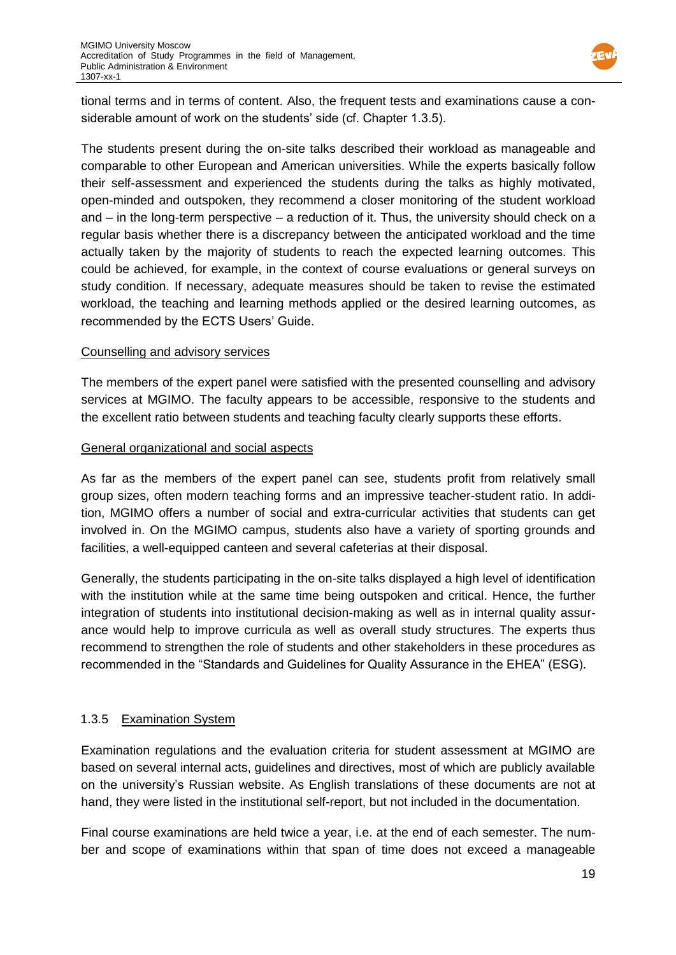

tional terms and in terms of content. Also, the frequent tests and examinations cause a considerable amount of work on the students' side (cf. Chapter 1.3.5).

The students present during the on-site talks described their workload as manageable and comparable to other European and American universities. While the experts basically follow their self-assessment and experienced the students during the talks as highly motivated, open-minded and outspoken, they recommend a closer monitoring of the student workload and – in the long-term perspective – a reduction of it. Thus, the university should check on a regular basis whether there is a discrepancy between the anticipated workload and the time actually taken by the majority of students to reach the expected learning outcomes. This could be achieved, for example, in the context of course evaluations or general surveys on study condition. If necessary, adequate measures should be taken to revise the estimated workload, the teaching and learning methods applied or the desired learning outcomes, as recommended by the ECTS Users' Guide.

### Counselling and advisory services

The members of the expert panel were satisfied with the presented counselling and advisory services at MGIMO. The faculty appears to be accessible, responsive to the students and the excellent ratio between students and teaching faculty clearly supports these efforts.

### General organizational and social aspects

As far as the members of the expert panel can see, students profit from relatively small group sizes, often modern teaching forms and an impressive teacher-student ratio. In addition, MGIMO offers a number of social and extra-curricular activities that students can get involved in. On the MGIMO campus, students also have a variety of sporting grounds and facilities, a well-equipped canteen and several cafeterias at their disposal.

Generally, the students participating in the on-site talks displayed a high level of identification with the institution while at the same time being outspoken and critical. Hence, the further integration of students into institutional decision-making as well as in internal quality assurance would help to improve curricula as well as overall study structures. The experts thus recommend to strengthen the role of students and other stakeholders in these procedures as recommended in the "Standards and Guidelines for Quality Assurance in the EHEA" (ESG).

### 1.3.5 Examination System

Examination regulations and the evaluation criteria for student assessment at MGIMO are based on several internal acts, guidelines and directives, most of which are publicly available on the university's Russian website. As English translations of these documents are not at hand, they were listed in the institutional self-report, but not included in the documentation.

Final course examinations are held twice a year, i.e. at the end of each semester. The number and scope of examinations within that span of time does not exceed a manageable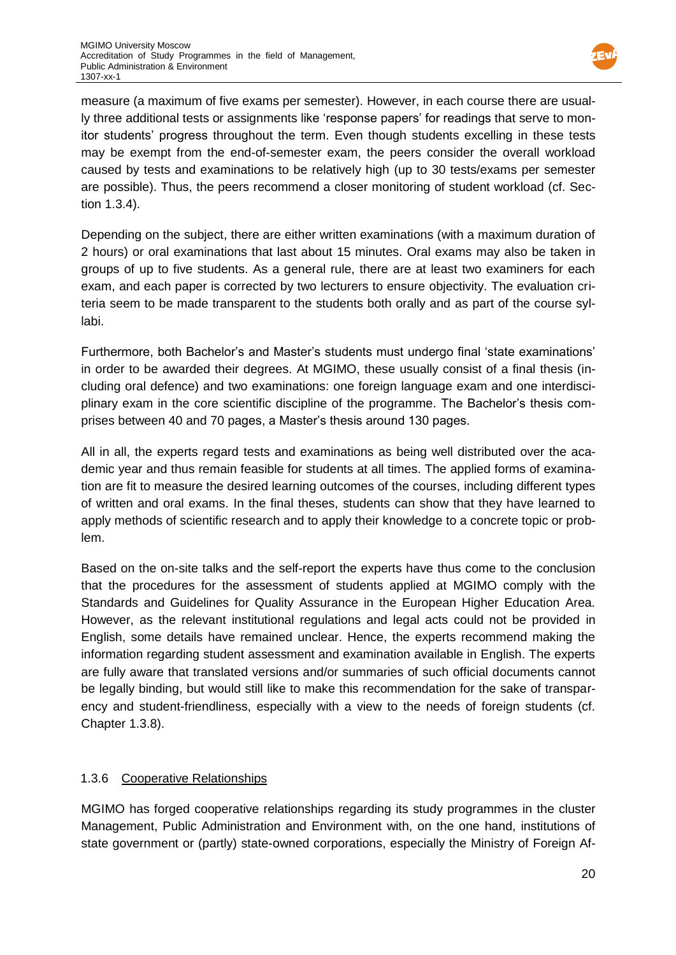

measure (a maximum of five exams per semester). However, in each course there are usually three additional tests or assignments like 'response papers' for readings that serve to monitor students' progress throughout the term. Even though students excelling in these tests may be exempt from the end-of-semester exam, the peers consider the overall workload caused by tests and examinations to be relatively high (up to 30 tests/exams per semester are possible). Thus, the peers recommend a closer monitoring of student workload (cf. Section 1.3.4).

Depending on the subject, there are either written examinations (with a maximum duration of 2 hours) or oral examinations that last about 15 minutes. Oral exams may also be taken in groups of up to five students. As a general rule, there are at least two examiners for each exam, and each paper is corrected by two lecturers to ensure objectivity. The evaluation criteria seem to be made transparent to the students both orally and as part of the course syllabi.

Furthermore, both Bachelor's and Master's students must undergo final 'state examinations' in order to be awarded their degrees. At MGIMO, these usually consist of a final thesis (including oral defence) and two examinations: one foreign language exam and one interdisciplinary exam in the core scientific discipline of the programme. The Bachelor's thesis comprises between 40 and 70 pages, a Master's thesis around 130 pages.

All in all, the experts regard tests and examinations as being well distributed over the academic year and thus remain feasible for students at all times. The applied forms of examination are fit to measure the desired learning outcomes of the courses, including different types of written and oral exams. In the final theses, students can show that they have learned to apply methods of scientific research and to apply their knowledge to a concrete topic or problem.

Based on the on-site talks and the self-report the experts have thus come to the conclusion that the procedures for the assessment of students applied at MGIMO comply with the Standards and Guidelines for Quality Assurance in the European Higher Education Area. However, as the relevant institutional regulations and legal acts could not be provided in English, some details have remained unclear. Hence, the experts recommend making the information regarding student assessment and examination available in English. The experts are fully aware that translated versions and/or summaries of such official documents cannot be legally binding, but would still like to make this recommendation for the sake of transparency and student-friendliness, especially with a view to the needs of foreign students (cf. Chapter 1.3.8).

# 1.3.6 Cooperative Relationships

MGIMO has forged cooperative relationships regarding its study programmes in the cluster Management, Public Administration and Environment with, on the one hand, institutions of state government or (partly) state-owned corporations, especially the Ministry of Foreign Af-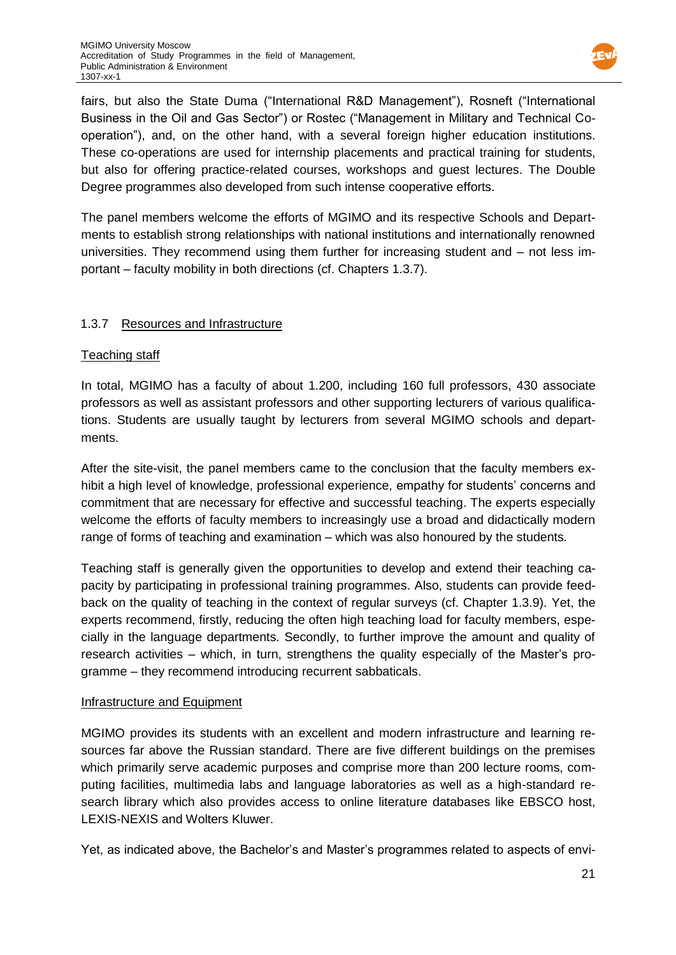

fairs, but also the State Duma ("International R&D Management"), Rosneft ("International Business in the Oil and Gas Sector") or Rostec ("Management in Military and Technical Cooperation"), and, on the other hand, with a several foreign higher education institutions. These co-operations are used for internship placements and practical training for students, but also for offering practice-related courses, workshops and guest lectures. The Double Degree programmes also developed from such intense cooperative efforts.

The panel members welcome the efforts of MGIMO and its respective Schools and Departments to establish strong relationships with national institutions and internationally renowned universities. They recommend using them further for increasing student and – not less important – faculty mobility in both directions (cf. Chapters 1.3.7).

# 1.3.7 Resources and Infrastructure

# Teaching staff

In total, MGIMO has a faculty of about 1.200, including 160 full professors, 430 associate professors as well as assistant professors and other supporting lecturers of various qualifications. Students are usually taught by lecturers from several MGIMO schools and departments.

After the site-visit, the panel members came to the conclusion that the faculty members exhibit a high level of knowledge, professional experience, empathy for students' concerns and commitment that are necessary for effective and successful teaching. The experts especially welcome the efforts of faculty members to increasingly use a broad and didactically modern range of forms of teaching and examination – which was also honoured by the students.

Teaching staff is generally given the opportunities to develop and extend their teaching capacity by participating in professional training programmes. Also, students can provide feedback on the quality of teaching in the context of regular surveys (cf. Chapter 1.3.9). Yet, the experts recommend, firstly, reducing the often high teaching load for faculty members, especially in the language departments. Secondly, to further improve the amount and quality of research activities – which, in turn, strengthens the quality especially of the Master's programme – they recommend introducing recurrent sabbaticals.

### Infrastructure and Equipment

MGIMO provides its students with an excellent and modern infrastructure and learning resources far above the Russian standard. There are five different buildings on the premises which primarily serve academic purposes and comprise more than 200 lecture rooms, computing facilities, multimedia labs and language laboratories as well as a high-standard research library which also provides access to online literature databases like EBSCO host, LEXIS-NEXIS and Wolters Kluwer.

Yet, as indicated above, the Bachelor's and Master's programmes related to aspects of envi-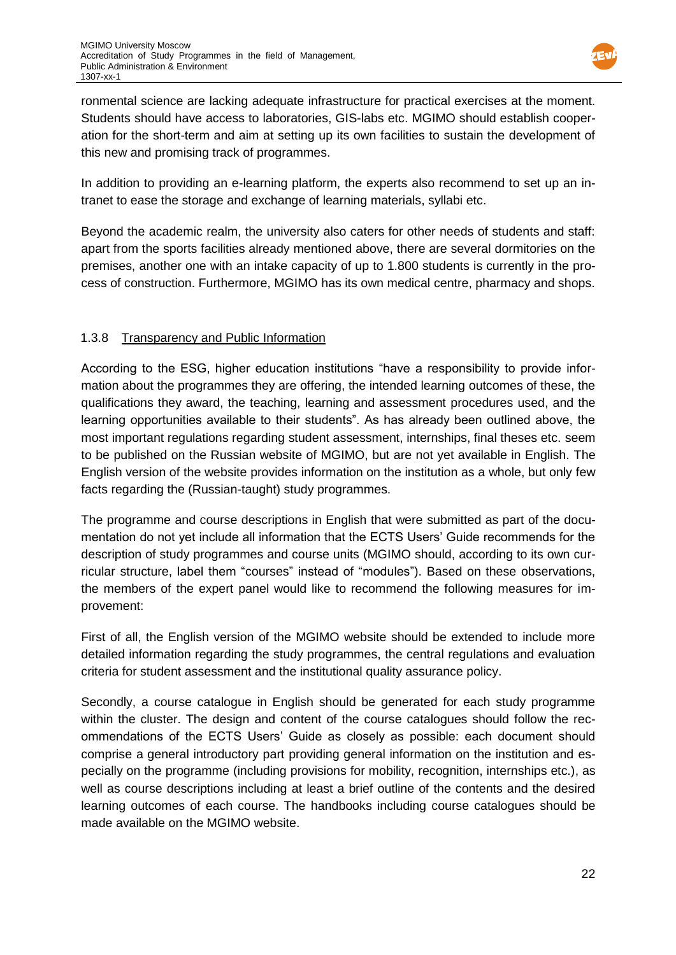

ronmental science are lacking adequate infrastructure for practical exercises at the moment. Students should have access to laboratories, GIS-labs etc. MGIMO should establish cooperation for the short-term and aim at setting up its own facilities to sustain the development of this new and promising track of programmes.

In addition to providing an e-learning platform, the experts also recommend to set up an intranet to ease the storage and exchange of learning materials, syllabi etc.

Beyond the academic realm, the university also caters for other needs of students and staff: apart from the sports facilities already mentioned above, there are several dormitories on the premises, another one with an intake capacity of up to 1.800 students is currently in the process of construction. Furthermore, MGIMO has its own medical centre, pharmacy and shops.

# 1.3.8 Transparency and Public Information

According to the ESG, higher education institutions "have a responsibility to provide information about the programmes they are offering, the intended learning outcomes of these, the qualifications they award, the teaching, learning and assessment procedures used, and the learning opportunities available to their students". As has already been outlined above, the most important regulations regarding student assessment, internships, final theses etc. seem to be published on the Russian website of MGIMO, but are not yet available in English. The English version of the website provides information on the institution as a whole, but only few facts regarding the (Russian-taught) study programmes.

The programme and course descriptions in English that were submitted as part of the documentation do not yet include all information that the ECTS Users' Guide recommends for the description of study programmes and course units (MGIMO should, according to its own curricular structure, label them "courses" instead of "modules"). Based on these observations, the members of the expert panel would like to recommend the following measures for improvement:

First of all, the English version of the MGIMO website should be extended to include more detailed information regarding the study programmes, the central regulations and evaluation criteria for student assessment and the institutional quality assurance policy.

Secondly, a course catalogue in English should be generated for each study programme within the cluster. The design and content of the course catalogues should follow the recommendations of the ECTS Users' Guide as closely as possible: each document should comprise a general introductory part providing general information on the institution and especially on the programme (including provisions for mobility, recognition, internships etc.), as well as course descriptions including at least a brief outline of the contents and the desired learning outcomes of each course. The handbooks including course catalogues should be made available on the MGIMO website.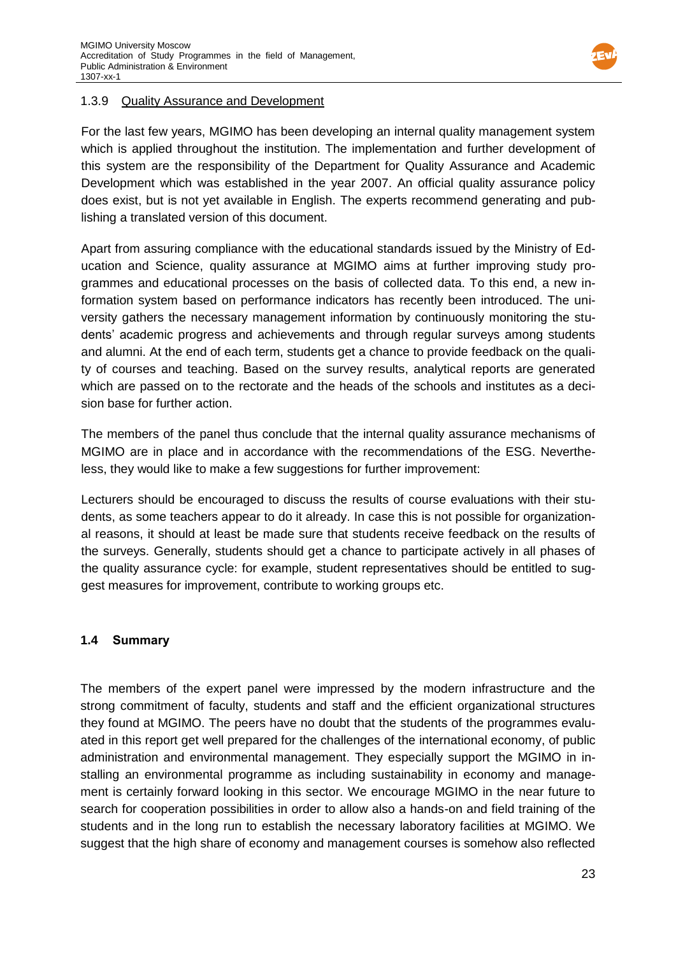

### 1.3.9 Quality Assurance and Development

For the last few years, MGIMO has been developing an internal quality management system which is applied throughout the institution. The implementation and further development of this system are the responsibility of the Department for Quality Assurance and Academic Development which was established in the year 2007. An official quality assurance policy does exist, but is not yet available in English. The experts recommend generating and publishing a translated version of this document.

Apart from assuring compliance with the educational standards issued by the Ministry of Education and Science, quality assurance at MGIMO aims at further improving study programmes and educational processes on the basis of collected data. To this end, a new information system based on performance indicators has recently been introduced. The university gathers the necessary management information by continuously monitoring the students' academic progress and achievements and through regular surveys among students and alumni. At the end of each term, students get a chance to provide feedback on the quality of courses and teaching. Based on the survey results, analytical reports are generated which are passed on to the rectorate and the heads of the schools and institutes as a decision base for further action.

The members of the panel thus conclude that the internal quality assurance mechanisms of MGIMO are in place and in accordance with the recommendations of the ESG. Nevertheless, they would like to make a few suggestions for further improvement:

Lecturers should be encouraged to discuss the results of course evaluations with their students, as some teachers appear to do it already. In case this is not possible for organizational reasons, it should at least be made sure that students receive feedback on the results of the surveys. Generally, students should get a chance to participate actively in all phases of the quality assurance cycle: for example, student representatives should be entitled to suggest measures for improvement, contribute to working groups etc.

### **1.4 Summary**

The members of the expert panel were impressed by the modern infrastructure and the strong commitment of faculty, students and staff and the efficient organizational structures they found at MGIMO. The peers have no doubt that the students of the programmes evaluated in this report get well prepared for the challenges of the international economy, of public administration and environmental management. They especially support the MGIMO in installing an environmental programme as including sustainability in economy and management is certainly forward looking in this sector. We encourage MGIMO in the near future to search for cooperation possibilities in order to allow also a hands-on and field training of the students and in the long run to establish the necessary laboratory facilities at MGIMO. We suggest that the high share of economy and management courses is somehow also reflected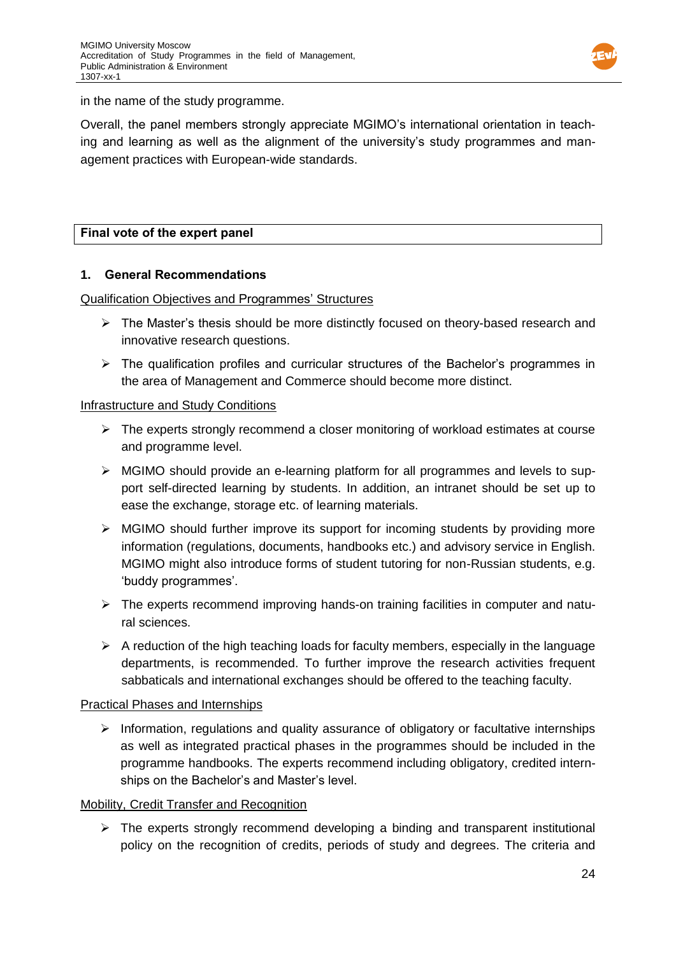

in the name of the study programme.

Overall, the panel members strongly appreciate MGIMO's international orientation in teaching and learning as well as the alignment of the university's study programmes and management practices with European-wide standards.

# **Final vote of the expert panel**

### **1. General Recommendations**

### Qualification Objectives and Programmes' Structures

- $\triangleright$  The Master's thesis should be more distinctly focused on theory-based research and innovative research questions.
- $\triangleright$  The qualification profiles and curricular structures of the Bachelor's programmes in the area of Management and Commerce should become more distinct.

### Infrastructure and Study Conditions

- $\triangleright$  The experts strongly recommend a closer monitoring of workload estimates at course and programme level.
- $\triangleright$  MGIMO should provide an e-learning platform for all programmes and levels to support self-directed learning by students. In addition, an intranet should be set up to ease the exchange, storage etc. of learning materials.
- $\triangleright$  MGIMO should further improve its support for incoming students by providing more information (regulations, documents, handbooks etc.) and advisory service in English. MGIMO might also introduce forms of student tutoring for non-Russian students, e.g. 'buddy programmes'.
- $\triangleright$  The experts recommend improving hands-on training facilities in computer and natural sciences.
- $\triangleright$  A reduction of the high teaching loads for faculty members, especially in the language departments, is recommended. To further improve the research activities frequent sabbaticals and international exchanges should be offered to the teaching faculty.

### Practical Phases and Internships

 $\triangleright$  Information, regulations and quality assurance of obligatory or facultative internships as well as integrated practical phases in the programmes should be included in the programme handbooks. The experts recommend including obligatory, credited internships on the Bachelor's and Master's level.

### Mobility, Credit Transfer and Recognition

 $\triangleright$  The experts strongly recommend developing a binding and transparent institutional policy on the recognition of credits, periods of study and degrees. The criteria and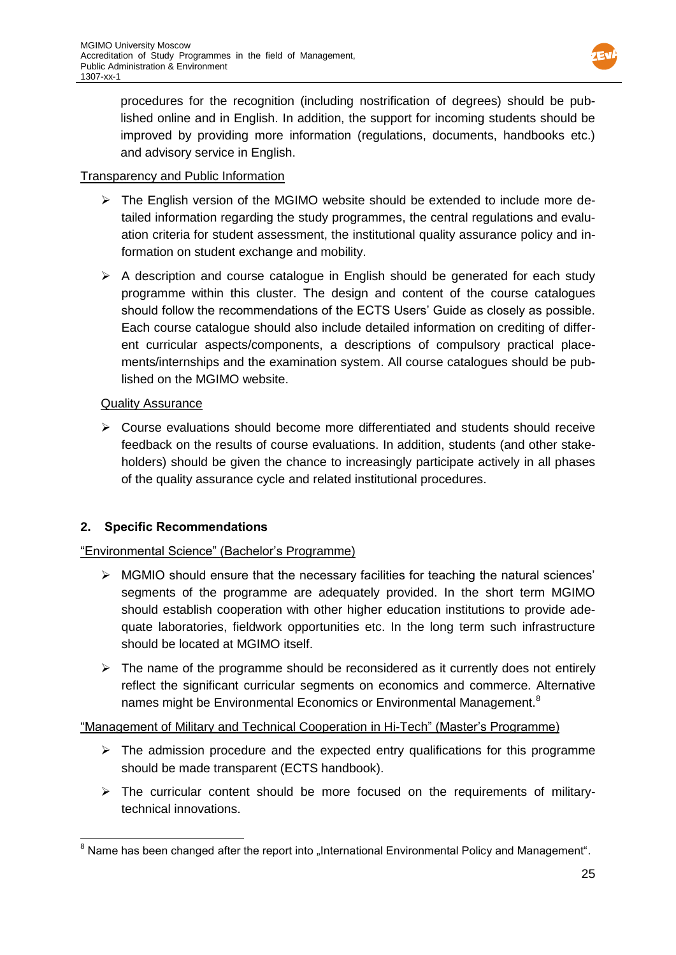

procedures for the recognition (including nostrification of degrees) should be published online and in English. In addition, the support for incoming students should be improved by providing more information (regulations, documents, handbooks etc.) and advisory service in English.

### Transparency and Public Information

- $\triangleright$  The English version of the MGIMO website should be extended to include more detailed information regarding the study programmes, the central regulations and evaluation criteria for student assessment, the institutional quality assurance policy and information on student exchange and mobility.
- $\triangleright$  A description and course catalogue in English should be generated for each study programme within this cluster. The design and content of the course catalogues should follow the recommendations of the ECTS Users' Guide as closely as possible. Each course catalogue should also include detailed information on crediting of different curricular aspects/components, a descriptions of compulsory practical placements/internships and the examination system. All course catalogues should be published on the MGIMO website.

### Quality Assurance

 $\triangleright$  Course evaluations should become more differentiated and students should receive feedback on the results of course evaluations. In addition, students (and other stakeholders) should be given the chance to increasingly participate actively in all phases of the quality assurance cycle and related institutional procedures.

# **2. Specific Recommendations**

### "Environmental Science" (Bachelor's Programme)

- MGMIO should ensure that the necessary facilities for teaching the natural sciences' segments of the programme are adequately provided. In the short term MGIMO should establish cooperation with other higher education institutions to provide adequate laboratories, fieldwork opportunities etc. In the long term such infrastructure should be located at MGIMO itself.
- $\triangleright$  The name of the programme should be reconsidered as it currently does not entirely reflect the significant curricular segments on economics and commerce. Alternative names might be Environmental Economics or Environmental Management.<sup>8</sup>

### "Management of Military and Technical Cooperation in Hi-Tech" (Master's Programme)

- $\triangleright$  The admission procedure and the expected entry qualifications for this programme should be made transparent (ECTS handbook).
- $\triangleright$  The curricular content should be more focused on the requirements of militarytechnical innovations.

  $^8$  Name has been changed after the report into "International Environmental Policy and Management".